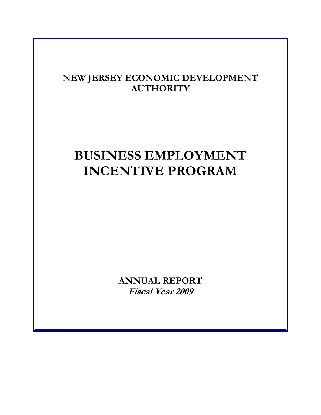# **NEW JERSEY ECONOMIC DEVELOPMENT AUTHORITY**

# **BUSINESS EMPLOYMENT INCENTIVE PROGRAM**

**ANNUAL REPORT Fiscal Year 2009**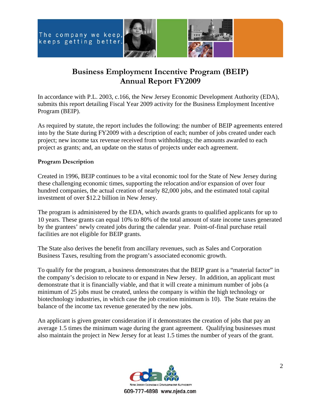



# **Business Employment Incentive Program (BEIP) Annual Report FY2009**

In accordance with P.L. 2003, c.166, the New Jersey Economic Development Authority (EDA), submits this report detailing Fiscal Year 2009 activity for the Business Employment Incentive Program (BEIP).

As required by statute, the report includes the following: the number of BEIP agreements entered into by the State during FY2009 with a description of each; number of jobs created under each project; new income tax revenue received from withholdings; the amounts awarded to each project as grants; and, an update on the status of projects under each agreement.

# **Program Description**

Created in 1996, BEIP continues to be a vital economic tool for the State of New Jersey during these challenging economic times, supporting the relocation and/or expansion of over four hundred companies, the actual creation of nearly 82,000 jobs, and the estimated total capital investment of over \$12.2 billion in New Jersey.

The program is administered by the EDA, which awards grants to qualified applicants for up to 10 years. These grants can equal 10% to 80% of the total amount of state income taxes generated by the grantees' newly created jobs during the calendar year. Point-of-final purchase retail facilities are not eligible for BEIP grants.

The State also derives the benefit from ancillary revenues, such as Sales and Corporation Business Taxes, resulting from the program's associated economic growth.

To qualify for the program, a business demonstrates that the BEIP grant is a "material factor" in the company's decision to relocate to or expand in New Jersey. In addition, an applicant must demonstrate that it is financially viable, and that it will create a minimum number of jobs (a minimum of 25 jobs must be created, unless the company is within the high technology or biotechnology industries, in which case the job creation minimum is 10). The State retains the balance of the income tax revenue generated by the new jobs.

An applicant is given greater consideration if it demonstrates the creation of jobs that pay an average 1.5 times the minimum wage during the grant agreement. Qualifying businesses must also maintain the project in New Jersey for at least 1.5 times the number of years of the grant.

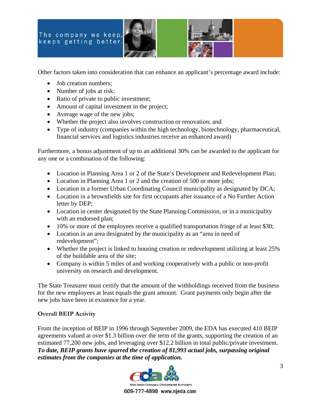



Other factors taken into consideration that can enhance an applicant's percentage award include:

- Job creation numbers;
- Number of jobs at risk;
- Ratio of private to public investment;
- Amount of capital investment in the project;
- Average wage of the new jobs;
- Whether the project also involves construction or renovation; and
- Type of industry (companies within the high technology, biotechnology, pharmaceutical, financial services and logistics industries receive an enhanced award)

Furthermore, a bonus adjustment of up to an additional 30% can be awarded to the applicant for any one or a combination of the following:

- Location in Planning Area 1 or 2 of the State's Development and Redevelopment Plan;
- Location in Planning Area 1 or 2 and the creation of 500 or more jobs;
- Location in a former Urban Coordinating Council municipality as designated by DCA;
- Location in a brownfields site for first occupants after issuance of a No Further Action letter by DEP;
- Location in center designated by the State Planning Commission, or in a municipality with an endorsed plan;
- 10% or more of the employees receive a qualified transportation fringe of at least \$30;
- Location in an area designated by the municipality as an "area in need of redevelopment";
- Whether the project is linked to housing creation or redevelopment utilizing at least 25% of the buildable area of the site;
- Company is within 5 miles of and working cooperatively with a public or non-profit university on research and development.

The State Treasurer must certify that the amount of the withholdings received from the business for the new employees at least equals the grant amount. Grant payments only begin after the new jobs have been in existence for a year.

# **Overall BEIP Activity**

From the inception of BEIP in 1996 through September 2009, the EDA has executed 410 BEIP agreements valued at over \$1.3 billion over the term of the grants, supporting the creation of an estimated 77,200 new jobs, and leveraging over \$12.2 billion in total public/private investment. *To date, BEIP grants have spurred the creation of 81,993 actual jobs, surpassing original estimates from the companies at the time of application.*

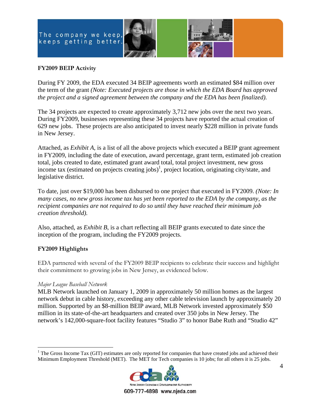



# **FY2009 BEIP Activity**

During FY 2009, the EDA executed 34 BEIP agreements worth an estimated \$84 million over the term of the grant *(Note: Executed projects are those in which the EDA Board has approved the project and a signed agreement between the company and the EDA has been finalized).*

The 34 projects are expected to create approximately 3,712 new jobs over the next two years. During FY2009, businesses representing these 34 projects have reported the actual creation of 629 new jobs. These projects are also anticipated to invest nearly \$228 million in private funds in New Jersey.

Attached, as *Exhibit A*, is a list of all the above projects which executed a BEIP grant agreement in FY2009, including the date of execution, award percentage, grant term, estimated job creation total, jobs created to date, estimated grant award total, total project investment, new gross income tax (estimated on projects creating jobs)<sup>1</sup>, project location, originating city/state, and legislative district.

To date, just over \$19,000 has been disbursed to one project that executed in FY2009. *(Note: In many cases, no new gross income tax has yet been reported to the EDA by the company, as the recipient companies are not required to do so until they have reached their minimum job creation threshold).* 

Also, attached, as *Exhibit B*, is a chart reflecting all BEIP grants executed to date since the inception of the program, including the FY2009 projects.

# **FY2009 Highlights**

EDA partnered with several of the FY2009 BEIP recipients to celebrate their success and highlight their commitment to growing jobs in New Jersey, as evidenced below.

# *Major League Baseball Network*

MLB Network launched on January 1, 2009 in approximately 50 million homes as the largest network debut in cable history, exceeding any other cable television launch by approximately 20 million. Supported by an \$8-million BEIP award, MLB Network invested approximately \$50 million in its state-of-the-art headquarters and created over 350 jobs in New Jersey. The network's 142,000-square-foot facility features "Studio 3" to honor Babe Ruth and "Studio 42"

 $\overline{a}$ <sup>1</sup> The Gross Income Tax (GIT) estimates are only reported for companies that have created jobs and achieved their Minimum Employment Threshold (MET). The MET for Tech companies is 10 jobs; for all others it is 25 jobs.



609-777-4898 www.njeda.com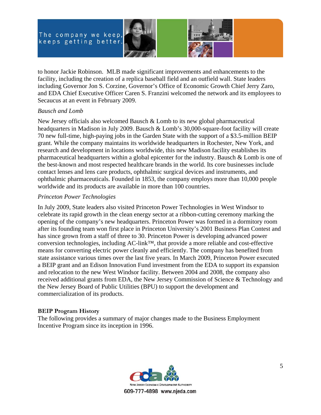



to honor Jackie Robinson. MLB made significant improvements and enhancements to the facility, including the creation of a replica baseball field and an outfield wall. State leaders including Governor Jon S. Corzine, Governor's Office of Economic Growth Chief Jerry Zaro, and EDA Chief Executive Officer Caren S. Franzini welcomed the network and its employees to Secaucus at an event in February 2009.

# *Bausch and Lomb*

New Jersey officials also welcomed Bausch & Lomb to its new global pharmaceutical headquarters in Madison in July 2009. Bausch & Lomb's 30,000-square-foot facility will create 70 new full-time, high-paying jobs in the Garden State with the support of a \$3.5-million BEIP grant. While the company maintains its worldwide headquarters in Rochester, New York, and research and development in locations worldwide, this new Madison facility establishes its pharmaceutical headquarters within a global epicenter for the industry. Bausch & Lomb is one of the best-known and most respected healthcare brands in the world. Its core businesses include contact lenses and lens care products, ophthalmic surgical devices and instruments, and ophthalmic pharmaceuticals. Founded in 1853, the company employs more than 10,000 people worldwide and its products are available in more than 100 countries.

# *Princeton Power Technologies*

In July 2009, State leaders also visited Princeton Power Technologies in West Windsor to celebrate its rapid growth in the clean energy sector at a ribbon-cutting ceremony marking the opening of the company's new headquarters. Princeton Power was formed in a dormitory room after its founding team won first place in Princeton University's 2001 Business Plan Contest and has since grown from a staff of three to 30. Princeton Power is developing advanced power conversion technologies, including AC-link™, that provide a more reliable and cost-effective means for converting electric power cleanly and efficiently. The company has benefited from state assistance various times over the last five years. In March 2009, Princeton Power executed a BEIP grant and an Edison Innovation Fund investment from the EDA to support its expansion and relocation to the new West Windsor facility. Between 2004 and 2008, the company also received additional grants from EDA, the New Jersey Commission of Science & Technology and the New Jersey Board of Public Utilities (BPU) to support the development and commercialization of its products.

# **BEIP Program History**

The following provides a summary of major changes made to the Business Employment Incentive Program since its inception in 1996.

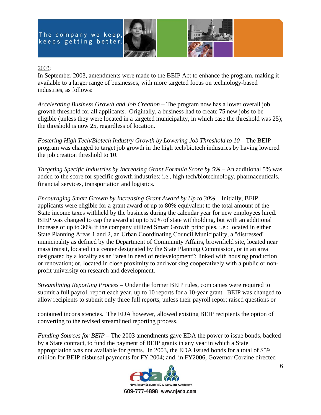



# 2003:

In September 2003, amendments were made to the BEIP Act to enhance the program, making it available to a larger range of businesses, with more targeted focus on technology-based industries, as follows:

*Accelerating Business Growth and Job Creation* – The program now has a lower overall job growth threshold for all applicants. Originally, a business had to create 75 new jobs to be eligible (unless they were located in a targeted municipality, in which case the threshold was 25); the threshold is now 25, regardless of location.

*Fostering High Tech/Biotech Industry Growth by Lowering Job Threshold to 10* – The BEIP program was changed to target job growth in the high tech/biotech industries by having lowered the job creation threshold to 10.

*Targeting Specific Industries by Increasing Grant Formula Score by 5%* – An additional 5% was added to the score for specific growth industries; i.e., high tech/biotechnology, pharmaceuticals, financial services, transportation and logistics.

*Encouraging Smart Growth by Increasing Grant Award by Up to 30%* – Initially, BEIP applicants were eligible for a grant award of up to 80% equivalent to the total amount of the State income taxes withheld by the business during the calendar year for new employees hired. BIEP was changed to cap the award at up to 50% of state withholding, but with an additional increase of up to 30% if the company utilized Smart Growth principles, i.e.: located in either State Planning Areas 1 and 2, an Urban Coordinating Council Municipality, a "distressed" municipality as defined by the Department of Community Affairs, brownfield site, located near mass transit, located in a center designated by the State Planning Commission, or in an area designated by a locality as an "area in need of redevelopment"; linked with housing production or renovation; or, located in close proximity to and working cooperatively with a public or nonprofit university on research and development.

*Streamlining Reporting Process* – Under the former BEIP rules, companies were required to submit a full payroll report each year, up to 10 reports for a 10-year grant. BEIP was changed to allow recipients to submit only three full reports, unless their payroll report raised questions or

contained inconsistencies. The EDA however, allowed existing BEIP recipients the option of converting to the revised streamlined reporting process.

*Funding Sources for BEIP* – The 2003 amendments gave EDA the power to issue bonds, backed by a State contract, to fund the payment of BEIP grants in any year in which a State appropriation was not available for grants. In 2003, the EDA issued bonds for a total of \$59 million for BEIP disbursal payments for FY 2004; and, in FY2006, Governor Corzine directed

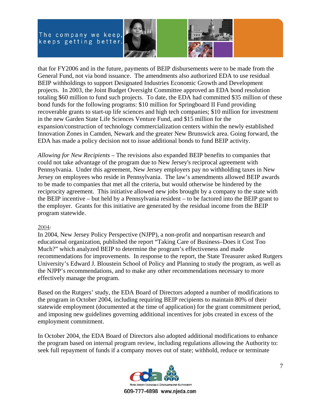



that for FY2006 and in the future, payments of BEIP disbursements were to be made from the General Fund, not via bond issuance. The amendments also authorized EDA to use residual BEIP withholdings to support Designated Industries Economic Growth and Development projects. In 2003, the Joint Budget Oversight Committee approved an EDA bond resolution totaling \$60 million to fund such projects. To date, the EDA had committed \$35 million of these bond funds for the following programs: \$10 million for Springboard II Fund providing recoverable grants to start-up life sciences and high tech companies; \$10 million for investment in the new Garden State Life Sciences Venture Fund, and \$15 million for the expansion/construction of technology commercialization centers within the newly established Innovation Zones in Camden, Newark and the greater New Brunswick area. Going forward, the EDA has made a policy decision not to issue additional bonds to fund BEIP activity.

*Allowing for New Recipients* – The revisions also expanded BEIP benefits to companies that could not take advantage of the program due to New Jersey's reciprocal agreement with Pennsylvania. Under this agreement, New Jersey employers pay no withholding taxes in New Jersey on employees who reside in Pennsylvania. The law's amendments allowed BEIP awards to be made to companies that met all the criteria, but would otherwise be hindered by the reciprocity agreement. This initiative allowed new jobs brought by a company to the state with the BEIP incentive – but held by a Pennsylvania resident – to be factored into the BEIP grant to the employer. Grants for this initiative are generated by the residual income from the BEIP program statewide.

# 2004:

In 2004, New Jersey Policy Perspective (NJPP), a non-profit and nonpartisan research and educational organization, published the report "Taking Care of Business–Does it Cost Too Much?" which analyzed BEIP to determine the program's effectiveness and made recommendations for improvements. In response to the report, the State Treasurer asked Rutgers University's Edward J. Bloustein School of Policy and Planning to study the program, as well as the NJPP's recommendations, and to make any other recommendations necessary to more effectively manage the program.

Based on the Rutgers' study, the EDA Board of Directors adopted a number of modifications to the program in October 2004, including requiring BEIP recipients to maintain 80% of their statewide employment (documented at the time of application) for the grant commitment period, and imposing new guidelines governing additional incentives for jobs created in excess of the employment commitment.

In October 2004, the EDA Board of Directors also adopted additional modifications to enhance the program based on internal program review, including regulations allowing the Authority to: seek full repayment of funds if a company moves out of state; withhold, reduce or terminate

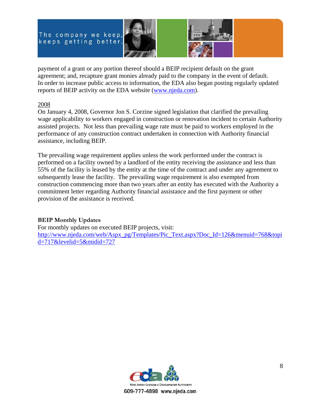



payment of a grant or any portion thereof should a BEIP recipient default on the grant agreement; and, recapture grant monies already paid to the company in the event of default. In order to increase public access to information, the EDA also began posting regularly updated reports of BEIP activity on the EDA website (www.njeda.com).

# 2008

On January 4, 2008, Governor Jon S. Corzine signed legislation that clarified the prevailing wage applicability to workers engaged in construction or renovation incident to certain Authority assisted projects. Not less than prevailing wage rate must be paid to workers employed in the performance of any construction contract undertaken in connection with Authority financial assistance, including BEIP.

The prevailing wage requirement applies unless the work performed under the contract is performed on a facility owned by a landlord of the entity receiving the assistance and less than 55% of the facility is leased by the entity at the time of the contract and under any agreement to subsequently lease the facility. The prevailing wage requirement is also exempted from construction commencing more than two years after an entity has executed with the Authority a commitment letter regarding Authority financial assistance and the first payment or other provision of the assistance is received.

# **BEIP Monthly Updates**

For monthly updates on executed BEIP projects, visit: http://www.njeda.com/web/Aspx\_pg/Templates/Pic\_Text.aspx?Doc\_Id=126&menuid=768&topi d=717&levelid=5&midid=727

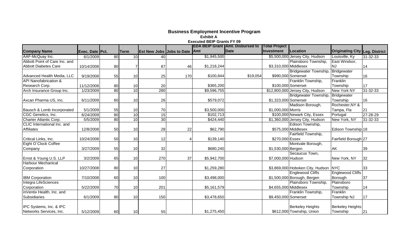|                                  |                 |    |             |                               |     |             | <b>EDA BEIP Grant JAmt. Disbursed to</b> | Total Project         |                                      |                                       |                |
|----------------------------------|-----------------|----|-------------|-------------------------------|-----|-------------|------------------------------------------|-----------------------|--------------------------------------|---------------------------------------|----------------|
| <b>Company Name</b>              | Exec. Date Pct. |    | <b>Term</b> | Est New Jobs Jobs to Date Amt |     |             | <b>Date</b>                              | <b>Investment</b>     | <b>Location</b>                      | <b>Originating City Leg. District</b> |                |
| AAF-McQuay Inc.                  | 6/1/2009        | 80 | 10          | 40                            |     | \$1,945,500 |                                          |                       | \$5,500,000 Jersey City, Hudson      | Louisville, Ky                        | $31 - 32 - 33$ |
| Abbott Point of Care Inc. and    |                 |    |             |                               |     |             |                                          |                       | Plainsboro Township,                 | East Windsor,                         |                |
| <b>Abbott Diabetes Care</b>      | 10/14/2008      | 80 |             | 87                            | 46  | \$1,218,244 |                                          | \$3,310,000 Middlesex |                                      | INJ                                   | 14             |
|                                  |                 |    |             |                               |     |             |                                          |                       | Bridgewater Township,                | Bridgewater                           |                |
| Advanced Health Media, LLC       | 9/19/2008       | 55 | 10          | 25                            | 170 | \$100,844   | \$19,054                                 |                       | \$990,000 Somerset                   | Township                              | 16             |
| <b>API Nanofabrication &amp;</b> |                 |    |             |                               |     |             |                                          |                       | Franklin Township,                   | Franklin                              |                |
| Research Corp.                   | 11/12/2008      | 80 | 10          | 20                            |     | \$365,200   |                                          |                       | \$100,000 Somerset                   | Township                              | 17             |
| Arch Insurance Group Inc.        | 1/23/2009       | 80 | 10          | 280                           |     | \$9,596,755 |                                          |                       | \$12,800,000 Jersey City, Hudson     | New York NY                           | 31-32-33       |
|                                  |                 |    |             |                               |     |             |                                          |                       | Bridgewater Township,                | Bridgewater                           |                |
| Axcan Pharma US, Inc.            | 6/11/2009       | 60 | 10          | 26                            |     | \$579,072   |                                          | \$1,323,000 Somerset  |                                      | Township                              | 16             |
|                                  |                 |    |             |                               |     |             |                                          |                       | Madison Borough,                     | Rochester, NY &                       |                |
| Bausch & Lomb Incorporated       | 5/1/2009        | 55 | 10          | 70                            |     | \$3,500,000 |                                          | \$1,000,000 Morris    |                                      | Tampa, Fla                            | 21             |
| CGC Genetics, Inc.               | 6/24/2009       | 80 | 10          | 15                            |     | \$102,713   |                                          |                       | \$100,000 Newark City, Essex         | Portugal                              | 27-28-29       |
| Charter Atlantic Corp.           | 5/5/2009        | 80 | 10          | 30                            |     | \$424,440   |                                          |                       | \$1,360,000 Jersey City, Hudson      | New York, NY                          | 31-32-33       |
| CLIC International Inc. and      |                 |    |             |                               |     |             |                                          |                       | Edison Township,                     |                                       |                |
| Affiliates                       | 12/8/2008       | 50 | 10          | 28                            | 22  | \$62,790    |                                          |                       | \$575,000 Middlesex                  | Edison Township 18                    |                |
|                                  |                 |    |             |                               |     |             |                                          |                       | Fairfield Township,                  |                                       |                |
| Critical Links, Inc.             | 10/24/2008      | 50 | 10          | 12                            |     | \$139,140   |                                          | \$270,000 Essex       |                                      | Fairfield Borough 27                  |                |
| Eight O'Clock Coffee             |                 |    |             |                               |     |             |                                          |                       | Montvale Borough,                    |                                       |                |
| Company                          | 3/27/2009       | 55 | 10          | 32                            |     | \$680,240   |                                          | \$1,530,000 Bergen    |                                      | AK                                    | 39             |
|                                  |                 |    |             |                               |     |             |                                          |                       | Secaucus Town,                       |                                       |                |
| Ernst & Young U.S. LLP           | 3/2/2009        | 65 | 10          | 270                           | 37  | \$5,942,700 |                                          | \$7,000,000 Hudson    |                                      | New York, NY                          | 32             |
| <b>Harbour Mechanical</b>        |                 |    |             |                               |     |             |                                          |                       |                                      |                                       |                |
| Corporation                      | 10/27/2008      | 80 | 10          | 27                            |     | \$1,259,280 |                                          |                       | \$3,869,000 Hoboken City, Hudson NYC |                                       | 33             |
|                                  |                 |    |             |                               |     |             |                                          |                       | <b>Englewood Cliffs</b>              | <b>Englewood Cliffs</b>               |                |
| <b>IBM Corporation</b>           | 7/10/2008       | 60 | 10          | 100                           |     | \$3,498,000 |                                          |                       | \$1,500,000 Borough, Bergen          | Borough                               | 37             |
| Integra LifeSciences             |                 |    |             |                               |     |             |                                          |                       | Plainsboro Township,                 | Plainsboro                            |                |
| Corporation                      | 5/22/2009       | 70 | 10          | 201                           |     | \$5,161,579 |                                          | \$4,655,000 Middlesex |                                      | Township                              | 14             |
| inVentiv Health, Inc. and        |                 |    |             |                               |     |             |                                          |                       | Franklin Township,                   | Franklin                              |                |
| Subsidiaries                     | 6/1/2009        | 80 | 10          | 150                           |     | \$3,478,650 |                                          | \$9,450,000 Somerset  |                                      | Township NJ                           | 17             |
|                                  |                 |    |             |                               |     |             |                                          |                       |                                      |                                       |                |
| IPC Systems, Inc. & IPC          |                 |    |             |                               |     |             |                                          |                       | <b>Berkeley Heights</b>              | <b>Berkeley Heights</b>               |                |
| Networks Services, Inc.          | 5/12/2009       | 60 | 10          | 55                            |     | \$1,275,450 |                                          |                       | \$612,000 Township, Union            | Township                              | 21             |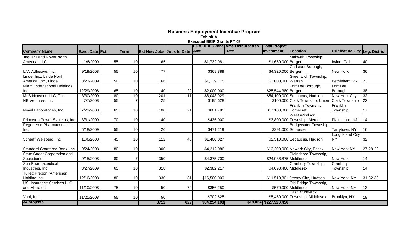|                                     |                 |    |             |                                      |     |              | <b>EDA BEIP Grant (Amt. Disbursed to</b> | <b>Total Project</b>     |                                                |                                       |          |
|-------------------------------------|-----------------|----|-------------|--------------------------------------|-----|--------------|------------------------------------------|--------------------------|------------------------------------------------|---------------------------------------|----------|
| <b>Company Name</b>                 | Exec. Date Pct. |    | <b>Term</b> | <b>Est New Jobs Jobs to Date Amt</b> |     |              | <b>IDate</b>                             | <b>Investment</b>        | Location                                       | <b>Originating City Leg. District</b> |          |
| Jaguar Land Rover North             |                 |    |             |                                      |     |              |                                          |                          | Mahwah Township,                               |                                       |          |
| America, LLC                        | 1/6/2009        | 55 | 10          | 65                                   |     | \$1,732,981  |                                          | \$1,650,000 Bergen       |                                                | Irvine, Calif                         | 40       |
|                                     |                 |    |             |                                      |     |              |                                          |                          | Carlstadt Borough,                             |                                       |          |
| L.V. Adhesive, Inc.                 | 9/19/2008       | 55 | 10          | 77                                   |     | \$369,889    |                                          | \$4,320,000 Bergen       |                                                | New York                              | 36       |
| Linde, Inc., Linde North            |                 |    |             |                                      |     |              |                                          |                          | Greenwich Township,                            |                                       |          |
| America, Inc., Linde                | 3/23/2009       | 50 | 10          | 166                                  |     | \$1,139,175  |                                          | \$3,000,000 Warren       |                                                | Bethlehem, PA                         | 23       |
| Miami International Holdings,       |                 |    |             |                                      |     |              |                                          |                          | Fort Lee Borough,                              | Fort Lee                              |          |
| Inc                                 | 12/29/2008      | 65 | 10          | 40                                   | 22  | \$2,000,000  |                                          | \$25,544,380 Bergen      |                                                | Borough                               | 38       |
| MLB Network, LLC, The               | 3/30/2009       | 80 | 10          | 201                                  | 111 | \$8,048,929  |                                          |                          | \$54,100,000 Secaucus, Hudson                  | <b>New York City</b>                  | 32       |
| NB Ventures, Inc.                   | 7/7/2008        | 55 |             | 25                                   |     | \$195,628    |                                          |                          | \$100,000 Clark Township, Union Clark Township |                                       | 22       |
|                                     |                 |    |             |                                      |     |              |                                          |                          | Franklin Township,                             | Franklin                              |          |
| Novel Laboratories, Inc.            | 7/23/2008       | 65 | 10          | 100                                  | 21  | \$601,785    |                                          | \$17,100,000 Somerset    |                                                | Township                              | 17       |
|                                     |                 |    |             |                                      |     |              |                                          |                          | <b>West Windsor</b>                            |                                       |          |
| Princeton Power Systems, Inc.       | 3/31/2009       | 70 | 10          | 40                                   |     | \$435,000    |                                          |                          | \$3,800,000 Township, Mercer                   | Plainsboro, NJ                        | 14       |
| Regeneron Pharmaceuticals,          |                 |    |             |                                      |     |              |                                          |                          | Bridgewater Township,                          |                                       |          |
| Inc.                                | 5/18/2009       | 55 | 10          | 20                                   |     | \$471,219    |                                          |                          | \$291,000 Somerset                             | Tarrytown, NY                         | 16       |
|                                     |                 |    |             |                                      |     |              |                                          |                          |                                                | Long Island City                      |          |
| Scharff Weisberg, Inc.              | 11/6/2008       | 45 | 10          | 112                                  | 45  | \$1,400,027  |                                          |                          | \$2,310,000 Secaucus, Hudson                   | <b>NY</b>                             | 32       |
| Standard Chartered Bank, Inc.       | 9/24/2008       | 80 | 10          | 300                                  |     | \$4,212,086  |                                          |                          | \$13,200,000 Newark City, Essex                | New York NY                           | 27-28-29 |
| <b>State Street Corporation and</b> |                 |    |             |                                      |     |              |                                          |                          | Plainsboro Township,                           |                                       |          |
| Subsidiaries                        | 9/15/2008       | 80 |             | 350                                  |     | \$4,375,700  |                                          | \$24,936,875 Middlesex   |                                                | <b>New York</b>                       | 14       |
| <b>Sun Pharmaceutical</b>           |                 |    |             |                                      |     |              |                                          |                          | Cranbury Township,                             | Cranbury                              |          |
| Industries, Inc.                    | 3/27/2009       | 65 | 10          | 318                                  |     | \$2,382,217  |                                          | \$4,093,400 Middlesex    |                                                | Township                              | 14       |
| Tullett Prebon (Americas)           |                 |    |             |                                      |     |              |                                          |                          |                                                |                                       |          |
| Holding Inc.                        | 12/16/2008      | 80 | 10          | 330                                  | 81  | \$16,500,000 |                                          |                          | \$11,510,801 Jersey City, Hudson               | New York, NY                          | 31-32-33 |
| <b>USI Insurance Services LLC</b>   |                 |    |             |                                      |     |              |                                          |                          | Old Bridge Township,                           |                                       |          |
| and Affiliates                      | 11/10/2008      | 75 | 10          | 50                                   | 70  | \$356,250    |                                          |                          | \$570,000 Middlesex                            | New York, NY                          | 13       |
|                                     |                 |    |             |                                      |     |              |                                          |                          | <b>East Brunswick</b>                          |                                       |          |
| Vahl, Inc.                          | 11/21/2008      | 55 | 10          | 50                                   |     | \$702,625    |                                          |                          | \$5,450,000 Township, Middlesex                | Brooklyn, NY                          | 18       |
| 34 projects                         |                 |    |             | 3712                                 | 629 | \$84,254,108 |                                          | $$19,054$ $$227,920,456$ |                                                |                                       |          |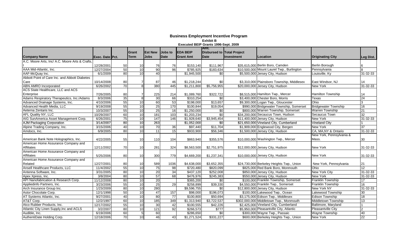|                                                 |                 |                 |                 |                 |                 |                  | Amt.                              |                   |                                            |                             |                 |
|-------------------------------------------------|-----------------|-----------------|-----------------|-----------------|-----------------|------------------|-----------------------------------|-------------------|--------------------------------------------|-----------------------------|-----------------|
|                                                 |                 |                 | Grant           | <b>Est New</b>  | <b>Jobs to</b>  | <b>IEDA BEIP</b> | <b>Disbursed to Total Project</b> |                   |                                            |                             |                 |
| <b>Company Name</b>                             | Exec. Date Pct. |                 | Term            | <b>Jobs</b>     | <b>Date</b>     | <b>Grant Amt</b> | <b>Date</b>                       | <b>Investment</b> | Location                                   | <b>Originating City</b>     | Leg Dist.       |
| A.C. Moore Arts, Inc/ A.C. Moore Arts & Crafts, |                 |                 |                 |                 |                 |                  |                                   |                   |                                            |                             |                 |
|                                                 | 12/28/2001      | 50              | 10              | 76              | 76              | \$153,140        | \$111,967                         |                   | \$35,615,000 Berlin Boro, Camden           | Berlin Borough              | 6               |
| AAA Mid-Atlantic, Inc.                          | 12/27/2004      | 50              | 10              | 90              | $\overline{96}$ | \$785,925        | \$183,634                         |                   | \$10,500,000 Mount Laurel Twp., Burlington | Pennsylvania                | 8               |
| AAF-McQuay Inc.                                 | 6/1/2009        | 80              | 10              | 40              |                 | \$1,945,500      | \$0                               |                   | \$5,500,000 Jersey City, Hudson            | Louisville, Ky              | 31-32-33        |
| Abbott Point of Care Inc. and Abbott Diabetes   |                 |                 |                 |                 |                 |                  |                                   |                   |                                            |                             |                 |
| Care                                            | 10/14/2008      | 80              |                 | 87              | 46              | \$1,218,244      | \$0                               |                   | \$3.310.000 Plainsboro Township, Middlesex | East Windsor, NJ            | 14              |
| <b>ABN AMRO Incorporated</b>                    | 6/26/2002       | 70              | 8               | 380             | 445             | \$1,211,800      | \$5,756,955                       |                   | \$20,000,000 Jersey City, Hudson           | <b>New York</b>             | 31-32-33        |
| ACS State Healthcare, LLC and ACS               |                 |                 |                 |                 |                 |                  |                                   |                   |                                            |                             |                 |
| Enterprise                                      | 7/26/2005       | 80              | 7               | 225             | 214             | \$1,089,760      | \$322,722                         |                   | \$8,515,000 Hamilton Twp., Mercer          | <b>Hamilton Township</b>    | 14              |
| Adams Respiratory Therapeutics, Inc./Adams      | 8/3/2006        | 35              | 8               | 30              | 66              | \$310,254        | \$0                               |                   | \$3.400.000 Chester Boro, Morris           | Texas                       | 24              |
| Advanced Drainage Systems, Inc.                 | 4/10/2006       | 55              | 10              | 60              | 53              | \$198,000        | \$13,657                          |                   | \$9,300,000 Logan Twp., Gloucester         | Ohio                        | 3               |
| Advanced Health Media, LLC                      | 9/19/2008       | 55              | 10              | 25              | 170             | \$100,844        | \$19,054                          |                   | \$990,000 Bridgewater Township, Somerset   | <b>Bridgewater Township</b> | 16              |
| Aeterna Zentaris Inc.                           | 10/3/2007       | 55              | 10              | 25              | $\overline{16}$ | \$1,250,000      | \$0                               |                   | \$800,000 Warren Township, Somerset        | Warren Township             | $\overline{21}$ |
| <b>AFL Quality NY, LLC</b>                      | 10/29/2007      | 60              | 10              | 181             | 103             | \$1,203,234      | $\overline{30}$                   |                   | \$34,200,000 Secaucus Town, Hudson         | <b>Secaucus Town</b>        | $\overline{32}$ |
| AIG SunAmerica Asset Management Corp.           | 6/26/2001       | 75              | 10              | 147             | 146             | \$1,928,640      | \$3,945,454                       |                   | \$11,400,000 Jersey City, Hudson           | New York                    | $31 - 32 - 33$  |
| <b>AJM Packaging Corporation</b>                | 3/14/2007       | 80              | 10              | 263             |                 | \$1,052,000      | \$0                               |                   | \$21,650,000 Vineland City, Cumberland     | <b>Vineland City</b>        |                 |
| Alpine Trading Company, Inc.                    | 3/15/2006       | 40              | $\overline{10}$ | 70              | 36              | \$97,440         | \$11,704                          |                   | \$1,909,000 Englewood City, Bergen         | <b>New York</b>             | 37              |
| Amdocs, Inc.                                    | 6/9/2005        | $\overline{80}$ | 10              | $\overline{11}$ | 15              | \$933,900        | \$56,346                          |                   | \$1,500,000 Jersey City, Hudson            | CA, MA, NY & Ontario        | 31-32-33        |
|                                                 |                 |                 |                 |                 |                 |                  |                                   |                   |                                            | New York, Pennsylvania &    |                 |
| American Bank Note Holographics, Inc.           | 4/22/2005       | 55              | 10              | 110             | 104             | \$863,940        | \$355,576                         |                   | \$10,000,000 Washington Twp., Mercer       | Mass.                       | 30              |
| American Home Assurance Company and             |                 |                 |                 |                 |                 |                  |                                   |                   |                                            |                             |                 |
| <b>Affiliates</b>                               | 12/11/2002      | 70              | 10              | 281             | 324             | \$8,563,500      | \$2,751,975                       |                   | \$12,000,000 Jersey City, Hudson           | New York                    | 31-32-33        |
| American Home Assurance Company and             |                 |                 |                 |                 |                 |                  |                                   |                   |                                            |                             |                 |
| <b>Affiliates</b>                               | 5/25/2006       | 80              | 10              | 300             | 779             | \$4,669,200      | \$1,237,341                       |                   | \$10,000,000 Jersey City, Hudson           | New York                    | 31-32-33        |
| American Home Assurance Company and             |                 |                 |                 |                 |                 |                  |                                   |                   |                                            |                             |                 |
| Related                                         | 12/27/2001      | 80              | 10              | 589             | 1036            | \$4,638,000      | \$3,652,355                       |                   | \$24,730,000 Berkeley Heights Twp., Union  | New York, Pennsylvania      | 21              |
| Ansell Healthcare Products, LLC                 | 11/4/2002       | 55              | 10              | 75              | 98              | \$720,480        | \$820,099                         |                   | \$825,000 Red Bank Boro, Monmouth          | Ohio                        | $\overline{12}$ |
| Antenna Software, Inc.                          | 3/31/2005       | 80              | 10              | 20              | 34              | \$437,120        | \$252,008                         |                   | \$850,000 Jersey City, Hudson              | <b>New York City</b>        | 31-32-33        |
| Apex Xpress, Inc.                               | 3/8/2004        | 80              | 10              | 57              | 68              | \$476,976        | \$245,383                         |                   | \$550,000 Jersey City, Hudson              | <b>New York</b>             | 31-32-33        |
| API Nanofabrication & Research Corp.            | 11/12/2008      | 80              | 10              | 20              |                 | \$365,200        | \$0                               |                   | \$100,000 Franklin Township, Somerset      | Franklin Township           | 17              |
| Appliedinfo Partners, Inc.                      | 3/23/2006       | 55              | 10              | 25              | 29              | \$258,899        | \$39,330                          |                   | \$4,550,000 Franklin Twp., Somerset        | Franklin Township           | 16              |
| Arch Insurance Group Inc.                       | 1/23/2009       | 80              | 10              | 280             |                 | \$9,596,755      | \$0                               |                   | \$12,800,000 Jersey City, Hudson           | <b>New York NY</b>          | 31-32-33        |
| Astor Chocolate Corp.                           | 12/1/1998       | 50              | $\overline{10}$ | 47              | 157             | \$98,000         | \$196,073                         |                   | \$100,000 Lakewood Twp., Ocean             | Lakewood Township           | 30              |
| AT Systems Atlantic, Inc.                       | 9/27/2001       | 40              | 10              | 80              | $\overline{77}$ | \$100,800        | \$50,694                          |                   | \$3,175,000 Edison Twp., Middlesex         | <b>Edison Township</b>      | 18              |
| AT&T Corp.                                      | 12/2/1997       | 60              | 10              | 185             | 349             | \$1,313,940      | \$3,722,537                       |                   | \$302,000,000 Middletown Twp., Monmouth    | Middletown Township         | 13              |
| Atco Rubber Products, Inc.                      | 12/17/2002      | 55              | 10              | 30              | 42              | \$100,555        | \$42,226                          |                   | \$2,425,000 Vineland City, Cumberland      | Baltimore, Maryland         |                 |
| Atlantic City Linen Supply, Inc and ACLS        | 3/2/2007        | 80              | 10              | 121             | 92              | \$266,573        | \$777                             |                   | \$5,950,000 Pleasantville City, Atlantic   | <b>Pleasantville City</b>   | $\mathfrak{p}$  |
| Audible, Inc.                                   | 6/19/2006       | 60              | 5               | 60              |                 | \$286,650        | \$0                               |                   | \$300,000 Wayne Twp., Passaic              | Wayne Township              | 40              |
| AuthentiDate Holding Corp.                      | 12/18/2006      | 70              | 10              | 46              | 43              | \$1,271,524      | \$331,227                         |                   | \$600,000 Berkeley Heights Twp., Union     | New York                    | 22              |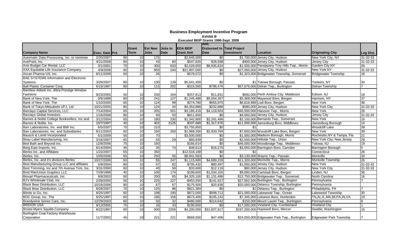|                                               |                 |                 |                 |                |                 |                  | Amt.                              |            |                                                |                                |                 |
|-----------------------------------------------|-----------------|-----------------|-----------------|----------------|-----------------|------------------|-----------------------------------|------------|------------------------------------------------|--------------------------------|-----------------|
|                                               |                 |                 | Grant           | <b>Est New</b> | Jobs to         | <b>EDA BEIP</b>  | <b>Disbursed to Total Project</b> |            |                                                |                                |                 |
| <b>Company Name</b>                           | Exec. Date Pct. |                 | Term            | <b>Jobs</b>    | <b>Date</b>     | <b>Grant Amt</b> | <b>Date</b>                       | Investment | <b>Location</b>                                | <b>Originating City</b>        | Leg Dist.       |
| Automatic Data Processing, Inc. or nominee    | 2/20/2007       | 80              | 10              | 175            |                 | \$2,845,500      | \$0                               |            | \$1,700,000 Jersey City, Hudson                | New York City, NY              | 31-32-33        |
| AvePoint, Inc.                                | 4/21/2008       | 80              | 10              | 43             | 80              | \$547,820        | \$28,598                          |            | \$400,000 Jersey City, Hudson                  | <b>Jersey City</b>             | 31-32-33        |
| Avis Budget Car Rental, LLC                   | 3/1/2001        | $\overline{70}$ | 10              | 300            | 633             | \$2,029,650      | \$8,835,834                       |            | \$1,500,000 Parsippany-Troy Hills Twp., Morris | Garden City NY                 | 26              |
| AXA Equitable Life Insurance Company          | 4/9/2008        | 80              | 10              | 950            | 194             | \$21,907,000     | \$0                               |            | \$27,050,000 Jersey City, Hudson               | <b>New York NY</b>             | 31-32-33        |
| Axcan Pharma US, Inc.                         | 6/11/2009       | 60              | 10              | 26             |                 | \$579,072        | \$0                               |            | \$1,323,000 Bridgewater Township, Somerset     | <b>Bridgewater Township</b>    | 16              |
| <b>BAE SYSTEMS Information and Electronic</b> |                 |                 |                 |                |                 |                  |                                   |            |                                                |                                |                 |
| Systems                                       | 3/29/2007       | 80              | 10              | 130            | 139             | \$5,041,400      | \$0                               |            | \$1 Totowa Borough, Passaic                    | Yonkers, NY                    | 34              |
| <b>Ball Plastic Container Corp.</b>           | 6/19/1997       | 80              | 10              | 115            | 202             | \$315,560        | \$798,476                         |            | \$57,676,000 Delran Twp., Burlington           | <b>Delran Township</b>         |                 |
| Bamboo Abbott Inc. d/b/a Prestige Window      |                 |                 |                 |                |                 |                  |                                   |            |                                                |                                |                 |
| Fashions                                      | 9/23/2005       | 50              | 10              | 250            | 164             | \$257,813        | \$11,831                          |            | \$692,000 Perth Amboy City, Middlesex          | Edison, NJ                     | 19              |
| Bank of New York, The                         | 3/6/1998        | 80              | 10              | 241            | 127             | \$1,245,488      | \$5,054,357                       |            | \$5,368,000 Maywood Boro, Bergen               | Harrison, NY                   | 37              |
| Bank of New York, The                         | 1/10/2000       | 60              | 10              | 124            | 99              | \$274,780        | \$655,875                         |            | \$6,816,989 Lodi Boro, Bergen                  | <b>New York</b>                | $\overline{38}$ |
| Bank of Tokyo-Mitsubishi UFJ, Ltd             | 10/21/2005      | 80              | 10              | 124            | 44              | \$4,353,888      | \$232,888                         |            | \$580,000 Jersey City, Hudson                  | <b>New York City</b>           | 31-32-33        |
| <b>Barclays Capital Services, LLC</b>         | 7/14/2004       | 65              | 10              | 205            | 501             | \$3,185,416      | \$4,119,603                       |            | \$40,500,000 Hanover Twp., Morris              | New York                       | 26              |
| <b>Barclays Global Investors</b>              | 1/16/2008       | 80              | 10              | 60             | 50              | \$811,650        | \$0                               |            | \$4,600,000 Jersey City, Hudson                | <b>Jersey City</b>             | 31-32-33        |
| Barnes & Noble College Booksellers, Inc and   | 3/12/2004       | 65              | 10              | 180            | 230             | \$1,342,800      | \$2,241,496                       |            | \$2,100,000 Bernards Twp., Somerset            | New York                       | 16              |
| Barnes & Noble, Inc.                          | 10/7/1997       | 40              | 10              | 402            | 2125            | \$337,680        | \$1,317,676                       |            | \$11,000,000 Jamesburg Boro, Middlesex         | Jamesburg Borough              | 14              |
| Barr Laboratories, Inc. and BMI Inc.          | 6/5/2007        | $\overline{70}$ | 10              | 210            |                 | \$3,755,850      | \$0                               |            |                                                | <b>Woodcliff Lake</b>          | 39              |
| Barr Laboratories, Inc. and Subsidiaries      | 8/11/2003       | 60              | 10              | 150            | 250             | \$1,969,200      | \$2,933,789                       |            | \$7,600,000 Woodcliff Lake Boro, Bergen        | New York                       | 39              |
| Bausch & Lomb Incorporated                    | 5/1/2009        | 55              | 10              | 70             |                 | \$3,500,000      | \$0                               |            | \$1,000,000 Madison Borough, Morris            | Rochester, NY & Tampa, Fla     | 21              |
| Beau Label Manufacturing, Inc.                | 3/16/2007       | 60              | 10              | 55             | 29              | \$60,839         | \$0                               |            | \$2,500,000 Hillside Twp., Union               | New York City; New Jersey      | 29              |
| Bed Bath and Beyond Inc.                      | 12/8/2006       | $\overline{75}$ | 10              | 160            |                 | \$166,614        | \$0                               |            | \$46,000,000 Woodbridge Twp., Middlesex        | Totowa, NJ                     | 19              |
| Berg East Imports, Inc.                       | 6/14/2004       | 45              | 10              | 35             | $\overline{74}$ | \$49,613         | \$16,275                          |            | \$3,650,000 Barrington Boro, Camden            | <b>Barrington Borough</b>      | $\overline{5}$  |
| Berlex Inc. and Affiliates                    | 1/22/2007       | 65              | 10              | 350            |                 | \$12,518,188     | \$0                               | \$1        |                                                | Connecticut                    | 26              |
| Berlex, Inc.                                  | 10/6/2006       | 65              | 10              | 250            | 56              | \$8,941,563      | \$0                               |            | \$3,130,000 Wayne Twp., Passaic                | Montville                      | $\overline{34}$ |
| Berlex, Inc. and it's divisions Berlex        | 10/27/2000      | 60              | 10              | 85             | 247             | \$1,115,880      | \$4,689,239                       |            | \$11,320,000 Montville Twp., Morris            | Montville Township             | 26              |
| Best Manufacturing Group LLC and affiliates   | 5/8/2004        | 80              | 10              | 57             | 82              | \$705,432        | \$80,497                          |            | \$1,000,000 Jersey City, Hudson                | <b>New York</b>                | $31 - 32 - 33$  |
| Best Trimming, Inc and 7th Avenue Trim, Inc.  | 3/31/2000       | 60              | 10              | 40             | 58              | \$33,600         | \$12,116                          |            | \$80,000 Jersey City, Hudson                   | New York City                  | 31-32-33        |
| <b>Bind Rite/Union Graphics LLC</b>           | 7/29/1998       | 40              | 10              | 100            | 174             | \$199,600        | \$1,034,105                       |            | \$9,000,000 Carlstadt Boro, Bergen             | Linden, NJ                     | 36              |
| Biovail Pharmaceuticals, Inc.                 | 9/8/2003        | 60              | 10              | 200            | 65              | \$4,325,100      | \$1,131,486                       |            | \$12,750,000 Bridgewater Twp., Somerset        | North Carolina                 | 16              |
| BJ's Wholesale Club, Inc.                     | 2/28/2000       | 50              | 10              | 225            | 227             | \$453,550        | \$141,637                         |            | \$27,562,500 Burlington Twp., Burlington       | Pennsylvania                   |                 |
| <b>Black Bear Distribution, LLC</b>           | 10/18/2006      | 80              | 10              | 67             | 67              | \$175,500        | \$20,836                          |            | \$20,000,000 Delanco Township, Burlington      | Pennsylvania                   |                 |
| <b>Black Bear Distribution, LLC</b>           | 8/28/2007       | $\overline{70}$ | 10              | 125            | $\overline{96}$ | \$821,384        | \$0                               |            | \$1 Delanco Twp., Burlington                   | Philadelphia, PA               |                 |
| Blinds to Go, Inc.                            | 8/25/1997       | 60              | 10              | 198            | 190             | \$872,000        | \$598,712                         |            | \$21,000,000 Lakewood Twp., Ocean              | Lakewood Township              | 30              |
| BOC Group, Inc. The                           | 6/25/1997       | 60              | 10              | 185            | 156             | \$673,400        | \$105,142                         |            | \$7,345,000 Lebanon Boro, Hunterdon            | TN, AL, IL, MA, MI, PA, IN, VA | 23              |
| Brandywine Senior Care, Inc.                  | 12/29/2003      | 60              | 10              | 50             | 32              | \$480,000        | \$214,642                         |            | \$150,000 Mount Laurel Twp., Burlington        | Pennsylvania                   | 8               |
| <b>BRIDOR USA</b>                             | 9/13/2005       | $\overline{75}$ | 10              | 33             | 33              | \$190.650        | \$0                               |            | \$17,500,000 Vineland City, Cumberland         | Vineland City                  |                 |
| <b>Bristol-Myers Squibb Company</b>           | 8/22/1997       | 80              | 10              | 500            | 2256            | \$4,200,000      | \$31,607,617                      |            | \$197,200,000 Hopewell Boro, Mercer            | Seattle, Washington            | 15              |
| Burlington Coat Factory Warehouse             |                 |                 |                 |                |                 |                  |                                   |            |                                                |                                |                 |
| Corporation                                   | 11/7/2002       | 45              | 10 <sup>1</sup> | 221            | 221             | \$669,550        | \$47,406                          |            | \$24,050,000 Edgewater Park Twp., Burlington   | Edgewater Park Township        |                 |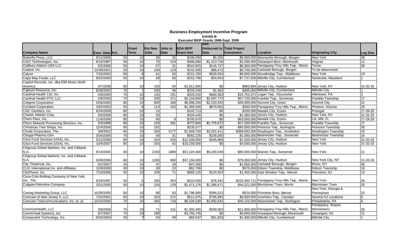|                                              |                 |                 |                 |                 |                 |                  | Amt.                              |            |                                                  |                            |                 |
|----------------------------------------------|-----------------|-----------------|-----------------|-----------------|-----------------|------------------|-----------------------------------|------------|--------------------------------------------------|----------------------------|-----------------|
|                                              |                 |                 | Grant           | <b>IEst New</b> | <b>Jobs</b> to  | <b>EDA BEIP</b>  | <b>Disbursed to Total Project</b> |            |                                                  |                            |                 |
| <b>Company Name</b>                          | Exec. Date Pct. |                 | <b>Term</b>     | <b>Jobs</b>     | <b>Date</b>     | <b>Grant Amt</b> | <b>Date</b>                       | Investment | Location                                         | <b>Originating City</b>    | Leg Dist.       |
| Butterfly Press, LLC.                        | 9/11/2006       | 50              | 10              | 56              | 25              | \$196,059        | \$5,350                           |            | \$6,050,000 Moonachie Borough, Bergen            | <b>New York</b>            | 38              |
| CACI Technologies, Inc.                      | 6/19/1997       | 50              | 10              | 75              | 419             | \$496,080        | \$1,313,726                       |            | \$2,296,000 Oceanport Boro, Monmouth             | Virginia                   | 11              |
| Cadbury Adams USA LLC                        | 5/2/2006        | 55              | 10              | 57              | $\overline{31}$ | \$510,825        | \$116,727                         |            | \$6,300,000 Parsippany-Troy Hills Twp., Morris   | Texas                      | 26              |
| Cadent, Inc.                                 | 12/28/2001      | 50              | 10              | 100             | 119             | \$142,500        | \$88,472                          |            | \$6,700,000 Carlstadt Borough, Bergen            | To be determined           |                 |
| Calyon                                       | 7/24/2002       | 65              | 8 <sup>1</sup>  | 61              | 56              | \$721,760        | \$629,564                         |            | \$6,600,000 Woodbridge Twp., Middlesex           | <b>New York</b>            | 19              |
| Cape May Foods, LLC                          | 8/23/2000       | 55              | 10              | 28              | 66              | \$152,796        | \$54,654                          |            | \$7,737,500 Millville City, Cumberland           | Nanticoke, Maryland        |                 |
| Capitol Records, Inc. dba EMI Music North    |                 |                 |                 |                 |                 |                  |                                   |            |                                                  |                            |                 |
| America                                      | 4/7/2008        | 80              | 10              | 150             | 50              | \$1,911,000      | \$0                               |            | \$883,894 Jersey City, Hudson                    | New York, NY               | 31-32-33        |
| Capture Resource, Inc.                       | 8/28/2002       | 70              | $\overline{7}$  | 200             | 36              | \$233,240        | \$1,462                           |            | \$365,000 Millville City, Cumberland             | <b>Millville City</b>      |                 |
| Cardinal Health 110, Inc.                    | 2/8/2000        | 70              | 10              | 125             | 191             | \$320,250        | \$680,363                         |            | \$15,752,571 Logan Twp., Gloucester              | Allentown, PA              | 3               |
| Cardinal Health PTS, LLC                     | 2/8/2000        | $\overline{70}$ | 10              | 205             | 371             | \$2,219,950      | \$2,097,774                       |            | \$57,735,000 Franklin Twp., Somerset             | Franklin Township          | 17              |
| Celgene Corporation                          | 5/26/2005       | 80              | 10              | 600             | 188             | \$6,086,250      | \$2,220,525                       |            | \$35,000,000 Summit City, Union                  | Summit City                | 21              |
| <b>Cendant Corporation</b>                   | 3/20/2002       | 50              | 8 <sup>1</sup>  | 114             | 163             | \$1,360,000      | \$870,993                         |            | \$200,000 Parsippany-Troy Hills Twp., Morris     | Phoenix, Arizona           | 26              |
| CGC Genetics, Inc.                           | 6/24/2009       | 80              | 10              | 15              |                 | \$102,713        | \$0                               |            | \$100,000 Newark City, Essex                     | Portugal                   | 27-28-29        |
| Charter Atlantic Corp.                       | 5/5/2009        | 80              | 10              | $\overline{30}$ |                 | \$424,440        | \$0                               |            | \$1,360,000 Jersey City, Hudson                  | New York, NY               | 31-32-33        |
| Chem Fleur, Inc.                             | 11/6/2006       | 80              | 10              | 90              | 9               | \$705,870        | \$0                               |            | \$63,000,000 Newark City, Essex                  | CA, MN, FL                 | 27-28-29        |
| Chem Network Processing Services, Inc.       | 2/3/1999        | 80              | 10              | 120             | 201             | \$772,800        | \$1,778,672                       |            | \$17,200,000 Franklin Twp., Somerset             | <b>Franklin Township</b>   | 17              |
| Christmas Tree Shops, Inc.                   | 12/4/2006       | 80              | 10              | 162             |                 | \$235,577        | \$0                               |            | \$90,000,000 Florence Twp., Burlington           | <b>Florence Township</b>   | $30\,$          |
| Chubb Corporation, The                       | 3/8/2002        | 65              | 10              | 250             | 1177            | \$1,569,750      | \$3,051,411                       |            | \$398,092,000 Readington Twp., Hunterdon         | Readington Township        | 23              |
| Chugai Pharma USA                            | 3/24/2006       | 70              | 10              | 50              | 31              | \$582,225        | \$109,260                         |            | \$1,000,000 Bedminster Twp., Somerset            | <b>Bedminster Township</b> | $\overline{16}$ |
| Citco Fund Services (USA), Inc.              | 5/12/2006       | 80              | 10              | 244             | 225             | \$12,200,000     | \$345,906                         |            | \$1,500,000 Jersey City, Hudson                  | <b>New York</b>            | 31-32-33        |
| Citco Fund Services (USA), Inc.              | 10/4/2007       | 80              | 10              | 203             | 62              | \$10,150,000     | $\sqrt{60}$                       |            | \$4,000,000 Jersey City, Hudson                  | <b>New York</b>            | 31-32-33        |
| Citigroup Global Markets, Inc. and Citibank, |                 |                 |                 |                 |                 |                  |                                   |            |                                                  |                            |                 |
| N.A.                                         | 9/14/2005       | 80              | 10              | 2150            | 1889            | \$57,224,400     | \$9,240,549                       |            | \$80,000,000 Warren Twp., Somerset               | New York                   | 21              |
| Citigroup Global Markets, Inc. and Citibank, |                 |                 |                 |                 |                 |                  |                                   |            |                                                  |                            |                 |
| N.A.                                         | 9/29/2006       | 80              | 10              | 1200            | 900             | \$37,104,000     | \$0                               |            | \$79,000,000 Jersey City, Hudson                 | New York City, NY          | 31-32-33        |
| City Theatrical, Inc.                        | 5/2/2007        | 45              | 10              | 47              | 29              | \$47,000         | \$0                               |            | \$1,050,000 Carlstadt Borough, Bergen            | Bronx. NY                  | 36              |
| CLIC International Inc. and Affiliates       | 12/8/2008       | 50              | 10              | 28              | 22              | \$62,790         | \$0                               |            | \$575,000 Edison Township, Middlesex             | <b>Edison Township</b>     | 18              |
| ClinPhone, Inc.                              | 7/10/2006       | 55              | 10              | 108             | $\overline{71}$ | \$685,125        | \$124,924                         |            | \$1,405,000 East Windsor Twp., Mercer            | Princeton, NJ              | $\overline{14}$ |
| Coca-Cola Bottling Company of New York,      |                 |                 |                 |                 |                 |                  |                                   |            |                                                  |                            |                 |
| Inc., The                                    | 6/19/1997       | 50              |                 | 180             | 454             | \$210,000        | \$78,442                          |            | \$103,484,711 Parsippany-Troy Hills Twp., Morris | New York                   | 26              |
| Colgate-Palmolive Company                    | 3/31/2000       | 60              | 10              | 126             | 129             | \$1,471,176      | \$1,288,471                       |            | \$44,221,000 Morristown Town, Morris             | Morristown Town            | 25              |
|                                              |                 |                 |                 |                 |                 |                  |                                   |            |                                                  | New York, Georgia &        |                 |
| Comag Marketing Group, LLC                   | 10/28/2005      | 60              | 10 <sup>1</sup> | 90              | 63              | \$1,796,580      | \$394,223                         |            | \$524,000 Princeton Boro, Mercer                 | Pennsylvan                 | 15              |
| Comcast of New Jersey II, LLC                | 7/25/2001       | 65              | 10              | 250             | 572             | \$511,875        | \$795,992                         |            | \$6,600,000 Voorhees Twp., Camden                | Several NJ Locations       | 6               |
| Comcast Telecommunications, Inc. et. al.     | 10/10/2000      | $\overline{70}$ | 10              | 460             | 718             | \$6,534,530      | \$2,892,642                       |            | \$40,125,000 Moorestown Twp., Burlington         | Philadelphia, PA           | 8               |
|                                              |                 |                 |                 |                 |                 |                  |                                   |            |                                                  | Parsippany, Wayne,         |                 |
| CommonHealth, LLC                            | 3/8/2006        | 75              | 10              | 71              | 131             | \$1,302,495      | \$269,063                         |            | \$21,800,000 Parsippany-Troy Hills Twp., Morris  | MorristownJ                | 26              |
| CommVault Systems, Inc.                      | 6/7/2007        | $\overline{70}$ | 10              | 180             |                 | \$3,755,745      | \$0                               |            | \$4,000,000 Oceanport Borough, Monmouth          | Oceanport, NJ              | 11              |
| Component Technology, Inc.                   | 8/24/2004       | 55              | $\overline{7}$  | 50              | 49              | \$60,637         | \$61,833                          |            | \$1,400,000 Millville City, Cumberland           | <b>Millville City</b>      |                 |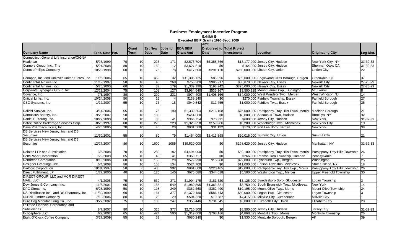|                                                |                        |                 |                 |                 |                  |                  | Amt.        |                            |                                                                                  |                                |                 |
|------------------------------------------------|------------------------|-----------------|-----------------|-----------------|------------------|------------------|-------------|----------------------------|----------------------------------------------------------------------------------|--------------------------------|-----------------|
|                                                |                        |                 | Grant           | <b>Est New</b>  | <b>Jobs to</b>   | <b>EDA BEIP</b>  |             | Disbursed to Total Project |                                                                                  |                                |                 |
| <b>Company Name</b>                            | <b>Exec. Date Pct.</b> |                 | Term            | <b>Jobs</b>     | <b>Date</b>      | <b>Grant Amt</b> | <b>Date</b> | Investment                 | Location                                                                         | <b>Originating City</b>        | Leg Dist.       |
| Connecticut General Life Insurance/CIGNA       |                        |                 |                 |                 |                  |                  |             |                            |                                                                                  |                                |                 |
| Healthcar                                      | 5/28/1999              | 70              | 10              | 225             | 171              | \$2,676,704      | \$5,358,366 |                            | \$13,177,000 Jersey City, Hudson                                                 | New York City, NY              | 31-32-33        |
| Connors Group, Inc., The                       | 5/21/2008              | 80              | 10              | 160             | $\overline{12}$  | \$3,627,810      | \$0         |                            | \$164,000 Jersey City, Hudson                                                    | Sherman Oaks CA                | 31-32-33        |
| <b>ConocoPhillips Company</b>                  | 10/29/1998             | 60              | 10              | $\overline{75}$ | $\overline{78}$  | \$417,600        | \$291,120   |                            | \$250,000,000 Linden City, Union                                                 | <b>Linden City</b>             | 22              |
|                                                |                        |                 |                 |                 |                  |                  |             |                            |                                                                                  |                                |                 |
| Conopco, Inc. and Unilever United States, Inc. | 11/6/2006              | 65              | 10              | 450             | 32               | \$11,305,125     | \$85,096    |                            | \$59,000,000 Englewood Cliffs Borough, Bergen                                    | IGreenwich. CT                 | 37              |
| Continental Airlines Inc.                      | 11/19/1997             | 50              | 10              | 45              | 268              | \$753,900        | \$986,917   |                            | \$30,870,500 Newark City, Essex                                                  | <b>Newark City</b>             | 27-28-29        |
| Continental Airlines, Inc.                     | 5/26/2000              | 60              | 10              | $\overline{37}$ | 179              | \$1,339,190      | \$198,942   |                            | \$825,000,000 Newark City, Essex                                                 | <b>Newark City</b>             | 27-28-29        |
| Corporate Synergies Group, Inc.                | 12/29/2004             | 75              | 10              | 108             | 127              | \$3,984,640      | \$535,267   |                            | \$3,500,929 Mount Laurel Twp., Burlington                                        | Mt. Laurel                     | 8               |
| Covance, Inc.                                  | 7/3/1997               | 80              | 10              | 200             | 231              | \$974,400        | \$1,408,166 |                            | \$34,000,000 West Windsor Twp., Mercer                                           | West Windsor, NJ               | 14              |
| Critical Links, Inc.                           | 10/24/2008             | 50              | 10              | 12              | $\overline{4}$   | \$139,140        | \$0         |                            | \$270,000 Fairfield Township, Essex                                              | Fairfield Borough              | 27              |
| CSG Systems, Inc                               | 1/12/2007              | 55              | 10              | 76              | $\overline{18}$  | \$940,842        | \$12,755    |                            | \$1,000,000 Fairfield Twp., Essex                                                | <b>Fairfield Borough</b>       | $\overline{26}$ |
|                                                |                        |                 |                 |                 |                  |                  |             |                            |                                                                                  |                                |                 |
| Daiichi Sankyo, Inc.                           | 3/14/2006              | 65              | 10 <sup>1</sup> | 76              | 190              | \$1,330,304      | \$216,158   |                            | \$76,000,000 Parsippany-Troy Hills Town, Morris                                  | Madison Borough                | 21              |
| Damascus Bakery, Inc.                          | 9/20/2007              | 50              | 10              | 180             |                  | \$414,000        | \$0         |                            | \$8,000,000 Secaucus Town, Hudson                                                | Brooklyn, NY                   | $\overline{32}$ |
| Daniel F. Young, Inc.                          | 10/27/2000             | 50              | 10              | 36              | 41               | \$366,754        | \$70,311    |                            | \$600,000 Jersey City, Hudson                                                    | <b>New York</b>                | $31 - 32 - 33$  |
| Datek Online Brokerage Services Corp.          | 8/25/1997              | 60              | 10              | 275             | 223              | \$1,328,250      | \$159,986   |                            | \$2,200,000 Woodbridge Twp., Middlesex                                           | New York City                  | 19              |
| Dava Pharmaceuticals, Inc.                     | 4/25/2005              | $\overline{70}$ | 10              | 40              | $\overline{20}$  | \$931,560        | \$31,122    |                            | \$170,000 Fort Lee Boro, Bergen                                                  | <b>New York</b>                | 38              |
| DB Services New Jersey, Inc. and DB            |                        |                 |                 |                 |                  |                  |             |                            |                                                                                  |                                |                 |
| Securities                                     | 11/30/2001             | 55              | 10              | 80              | 79               | \$1,464,000      | \$2,413,898 |                            | \$20,015,000 Summit City, Union                                                  | Summit City                    | 21              |
| DB Services New Jersey, Inc. and DB            |                        |                 |                 |                 |                  |                  |             |                            |                                                                                  |                                |                 |
| Securities                                     | 12/27/2007             | 80              | 10              | 1600            | 1085             | \$39,520,000     | \$0         |                            | \$198,620,000 Jersey City, Hudson                                                | Manhattan, NY                  | 31-32-33        |
|                                                |                        |                 |                 |                 |                  |                  |             |                            |                                                                                  |                                |                 |
| Deloitte LLP and Subsidiaries                  | 3/5/2008               | 70              | 10              | 280             | 182              | \$4,494,000      | \$0         |                            | \$89,100,000 Parsippany-Troy Hills Town, Morris   Parsippany-Troy Hills Township |                                | 26              |
| <b>DeltaPaper Corporation</b>                  | 5/9/2008               | 65              | 10              | 43              | 41               | \$350,717        | \$0         |                            | \$266,000 Pennsauken Township, Camden                                            | Pennsylvania                   |                 |
| <b>Dendreon Corporation</b>                    | 8/18/2006              | 60              | 10              | 150             | 28               | \$579,990        | \$15,368    |                            | \$22,000,000 Lyndhurst Twp., Bergen                                              | Washington                     | 25              |
| Designer Greetings, Inc.                       | 6/4/2008               | 50              | 10              | 158             | 134              | \$524,700        | \$0         |                            | \$11,000,000 Edison Township, Middlesex                                          | Staten Island, NY              | $\overline{18}$ |
| <b>Dialogic Corporation</b>                    | 10/31/1997             | 50              | 6               | 400             | 302              | \$861,600        | \$226,465   |                            | \$12,000,000 Parsippany-Troy Hills Twp., Morris                                  | Parsippany-Troy Hills Township | 26              |
| Direct Fulfillment, LP                         | 1/27/2000              | 40              | 10              | 120             | $\overline{140}$ | \$675,680        | \$344,018   |                            | \$5,500,000 Washington Twp., Mercer                                              | <b>Upper Freehold Township</b> | 30              |
| <b>DIRECT GROUP, LLC and MCR DIRECT</b>        |                        |                 |                 |                 |                  |                  |             |                            |                                                                                  |                                |                 |
| MAIL, LLC                                      | 4/1/2005               | 75              | 10              | 630             | 371              | \$1,904,175      | \$181,520   |                            | \$3,125,000 Swedesboro Boro, Gloucester                                          | Logan Township                 | 3               |
| Dow Jones & Company, Inc.                      | 11/8/2001              | 65              | 10              | 155             | 549              | \$1,960,595      | \$4,363,821 |                            | \$3,750,000 South Brunswick Twp., Middlesex                                      | <b>New York</b>                | 14              |
| DPC Cirrus Inc.                                | 6/25/1999              | 50              | 10              | 118             | 249              | \$362,260        | \$382,490   |                            | \$10,195,000 Mount Olive Twp., Morris                                            | Mount Olive Township           | 24              |
| DS Distribution Inc., and DS Pharmacy, Inc.    | 11/30/1999             | 60              | 10              | 151             | 377              | \$1,370,480      | \$586,443   |                            | \$30,000,000 Logan Twp., Gloucester                                              | Logan Township                 | 3               |
| DuBell Lumber Company                          | 7/18/2006              | 80              | 10              | 25              | 29               | \$504,320        | \$19,587    |                            | \$4,415,800 Millville City, Cumberland                                           | <b>Millville City</b>          | 1               |
| Duro Bag Manufacturing Co., Inc.               | 3/27/2002              | 75              | $\overline{7}$  | 180             | $\overline{247}$ | \$355,446        | \$731,545   |                            | \$3,000,000 Elizabeth City, Union                                                | <b>Elizabeth City</b>          | 20              |
| E*Trade Financial Corporation and              |                        |                 |                 |                 |                  |                  |             |                            |                                                                                  |                                |                 |
| Subsidiaries                                   | 8/7/2007               | 80              | 10              | 325             | 377              | \$2,710,500      | \$0         |                            | \$8,500,000 Jersey City, Hudson                                                  | Jersey City                    | 31-32-33        |
| Echosphere LLC                                 | 6/7/2002               | 65              | 10              | 424             | 500              | \$1,319,060      | \$708,186   |                            | \$4,868,093 Montville Twp., Morris                                               | Montville Township             | 26              |
| Eight O'Clock Coffee Company                   | 3/27/2009              | 55              | 10              | 32              |                  | \$680,240        | \$0         |                            | \$1,530,000 Montvale Borough, Bergen                                             | AK                             | 39              |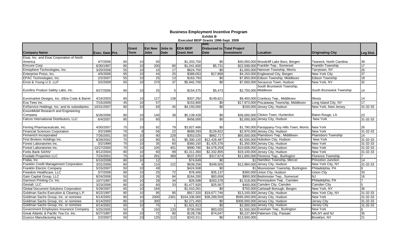|                                                |                 |    |                 |                 |                  |                  | <b>Amt.</b>                       |                       |                                                |                           |                 |
|------------------------------------------------|-----------------|----|-----------------|-----------------|------------------|------------------|-----------------------------------|-----------------------|------------------------------------------------|---------------------------|-----------------|
|                                                |                 |    | Grant           | <b>IEst New</b> | Jobs to          | <b>EDA BEIP</b>  | <b>Disbursed to Total Project</b> |                       |                                                |                           |                 |
| <b>Company Name</b>                            | Exec. Date Pct. |    | <b>Term</b>     | <b>Jobs</b>     | <b>Date</b>      | <b>Grant Amt</b> | <b>Date</b>                       | Investment            | Location                                       | <b>Originating City</b>   | Leg Dist.       |
| Eisai, Inc. and Eisai Corporation of North     |                 |    |                 |                 |                  |                  |                                   |                       |                                                |                           |                 |
| America                                        | 4/7/2006        | 60 | 10              | 50              |                  | \$1,203,750      | \$0                               |                       | \$30,000,000 Woodcliff Lake Boro, Bergen       | Teaneck. North Carolina   | 39              |
| Emcore Corp.                                   | 6/30/1997       | 80 | 10              | 200             | 80               | \$1,041,600      | \$5,731                           |                       | \$22,599,000 Franklin Twp., Somerset           | <b>Franklin Township</b>  | 17              |
| Emisphere Technologies, Inc.                   | 3/20/2008       | 55 | 10              | 10 <sup>1</sup> | 17               | \$624,750        | \$0                               |                       | \$1,000,000 Hanover Township, Morris           | Tarrytown, NY             | 26              |
| Enterprise Press, Inc.                         | 4/5/2006        | 65 | 10              | 44              | 25               | \$389,053        | \$17,868                          |                       | \$4,150,000 Englewood City, Bergen             | <b>New York City</b>      | 37              |
| EPAC Technologies, Inc.                        | 2/2/2007        | 55 | 10              | 25              | 13               | \$163,793        | \$0                               |                       | \$7,850,000 Edison Township, Middlesex         | <b>Edison Township</b>    | 18              |
| Ernst & Young U.S. LLP                         | 3/2/2009        | 65 | $\overline{10}$ | 270             | $\overline{37}$  | \$5,942,700      | \$0                               |                       | \$7,000,000 Secaucus Town, Hudson              | New York, NY              | $\overline{32}$ |
|                                                |                 |    |                 |                 |                  |                  |                                   |                       | South Brunswick Township,                      |                           |                 |
| Eurofins Product Safety Labs, Inc.             | 9/27/2006       | 65 | 10              | 25              | 5                | \$154,375        | \$5,473                           | \$2,750,000 Middlesex |                                                | South Brunswick Township  | 14              |
|                                                |                 |    |                 |                 |                  |                  |                                   |                       |                                                |                           |                 |
| Euromarket Designs, Inc. d/b/a Crate & Barrel  | 4/16/2003       | 60 | 10              | 127             | 138              | \$307,292        | \$149,621                         |                       | \$8.400.000 Cranbury Twp., Middlesex           | <b>Illinois</b>           | 14              |
| Eva Tees Inc.                                  | 7/15/2009       | 45 | $\overline{10}$ | 57              |                  | \$153,900        | \$0                               |                       | \$17,973,000 Piscataway Township, Middlesex    | Long Island City, NY      | 17              |
| ExlService Holdings, Inc. and its subsidiaries | 10/31/2007      | 80 | 10              | 83              | 45               | \$4,150,000      | \$0                               |                       | \$150,000 Jersey City, Hudson                  | New York, New Jersey      | 31-32-33        |
| ExxonMobil Research and Engineering            |                 |    |                 |                 |                  |                  |                                   |                       |                                                |                           |                 |
| Company                                        | 6/26/2006       | 80 | 10              | 140             | 38               | \$5,139,428      | \$0                               |                       | \$36,000,000 Clinton Town, Hunterdon           | Baton Rouge, LA           | 23              |
| Falcon International Distributors, LLC         | 6/4/2007        | 80 | 10              | 60              |                  | \$456,000        | \$0                               |                       | \$2,000,000 Jersey City, Hudson                | New York                  | 31-32-33        |
|                                                |                 |    |                 |                 |                  |                  |                                   |                       |                                                |                           |                 |
| Ferring Pharmaceuticals, Inc.                  | 4/30/2007       | 75 | 10              | 92              | 79               | \$3,927,466      | \$0                               |                       | \$1,790,000 Parsippany-Troy Hills Town, Morris | <b>New York</b>           | 26              |
| <b>Financial Sciences Corporation</b>          | 3/2/1999        | 70 | 8               | 56              | 22               | \$689,293        | \$129,822                         |                       | \$2,970,000 Jersey City, Hudson                | <b>New York</b>           | 31-32-33        |
| Firmenich Incorporated                         | 7/26/2001       | 50 | 10              | 90              | 228              | \$353,025        | \$882,717                         |                       | \$65,000,000 Plainsboro Twp., Middlesex        | Plainsboro Township       | 14              |
| First Brokers Holdings Inc.                    | 8/28/2002       | 70 | 10              | 80              | 91               | \$5,300,120      | \$12,428,487                      |                       | \$2,500,000 Hoboken City, Hudson               | New York                  | 31-32-33        |
| Forest Laboratories Inc.                       | 3/2/1999        | 70 | 10              | 35              | 60               | \$360,150        | \$1,425,376                       |                       | \$1,350,000 Jersey City, Hudson                | <b>New York</b>           | 31-32-33        |
| Forest Laboratories Inc.                       | 12/27/2000      | 70 | 10              | 105             | 401              | \$990,780        | \$4,078,259                       |                       | \$10,608,000 Jersey City, Hudson               | New York                  | 31-32-33        |
| Fortis Bank SA/NV                              | 8/12/2004       | 80 | $\overline{10}$ | 60              | 99               | \$1,311,360      | \$2,332,805                       |                       | \$19,100,000 Jersey City, Hudson               | <b>New York</b>           | 31-32-33        |
| <b>Foxdale Properties LLC</b>                  | 7/24/2001       | 75 | 10              | 291             | 369              | \$537,070        | \$317,674                         |                       | \$11,600,000 Florence Twp., Burlington         | <b>Florence Township</b>  |                 |
| Fraba, Inc                                     | 6/10/2008       | 80 | 10              | 12              |                  | \$74,649         | \$0                               |                       | \$1 Hamilton Township, Mercer                  | <b>Princeton Junction</b> | $\overline{14}$ |
| Franklin Credit Management Corporation         | 3/31/2006       | 80 | 6               | 110             | 122              | \$639,256        | \$349,505                         |                       | \$12,984,000 Jersey City, Hudson               | New York City, NY         | 31-32-33        |
| <b>Franklin Electric Company</b>               | 5/15/2007       | 50 | 10              | 49              |                  | \$424,508        | \$0                               |                       | \$1 Moorestown Township, Burlington            | Philadelphia, PA          | 8               |
| Freedom Healthcare, LLC                        | 3/7/2006        | 80 | 10              | 25              | $\overline{72}$  | \$78,400         | \$35,137                          |                       | \$300,000 Union City, Hudson                   | <b>Union City</b>         | 33              |
| Gain Capital Group, LLC                        | 8/24/2006       | 50 | 10              | 26              | 84               | \$164,200        | \$83,658                          |                       | \$900,000 Bedminster Twp., Somerset            | NJ                        | 16              |
| Garrison Printing Co. Inc.                     | 10/7/1997       | 60 | 10              | 28              | 34               | \$26,598         | \$263,378                         |                       | \$1,518,000 Pennsauken Twp., Camden            | Philadelphia, PA          | $\overline{ }$  |
| Gestalt, LLC                                   | 3/23/2006       | 80 | 10              | 60              | 33               | \$1,477,920      | \$25,567                          |                       | \$400,000 Camden City, Camden                  | Camden City               | 5               |
| <b>Global Document Solutions Corporation</b>   | 5/29/2007       | 65 | 10              | 184             |                  | \$1,010,261      | \$0                               |                       | \$750,000 Carlstadt Borough, Bergen            | New York, NY              | $\overline{36}$ |
| Goldman Sachs Execution & Clearing L.P.        | 8/22/1997       | 80 | 10              | 95              | 95               | \$917,320        | \$19,677,746                      |                       | \$13,100,000 Jersey City, Hudson               | New York City, NY         | 31-32-33        |
| Goldman Sachs Group, Inc. or nominee           | 6/14/2002       | 80 | $\overline{10}$ | 2000            | 2301             | \$164,336,000    | \$38,289,559                      |                       | \$595,000,000 Jersey City, Hudson              | New York                  | 31-32-33        |
| Goldman Sachs Group, Inc. or nominee           | 6/14/2002       | 80 | 10              | 300             |                  | \$2,271,450      | \$0                               |                       | \$306,000,000 Jersey City, Hudson              | Jersey City               | 31-32-33        |
| Goldman Sachs Group, Inc. or nominee           | 6/14/2002       | 65 | $\overline{10}$ | 75              |                  | \$1,621,913      | $\overline{50}$                   |                       | \$2,000,000 Jersey City, Hudson                | <b>Jersey City</b>        | 31-32-33        |
| Government Employees Insurance Company         | 5/25/2005       | 50 | 3               | 150             | $\overline{133}$ | \$706,050        | \$83,020                          |                       | \$1,500,000 Evesham Twp., Burlington           | <b>New York</b>           | 8               |
| Great Atlantic & Pacific Tea Co. Inc.          | 6/27/1997       | 60 | 10              | 72              | 90               | \$128,736        | \$74,047                          |                       | \$5,137,894 Paterson City, Passaic             | MA, NY and NJ             | 35              |
| Gussco Manufacturing Inc.                      | 2/2/2007        | 50 | 10              | 125             | 112              | \$243,311        | \$0                               | \$13,500,000          |                                                | Brooklyn, NY              | 21              |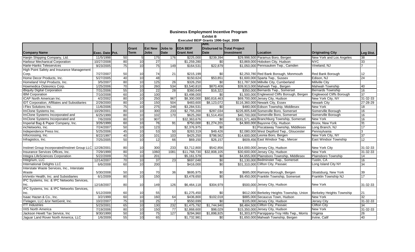|                                                           |                 |                 |                 |                 |                 |                  | Amt.                       |            |                                                |                           |                 |
|-----------------------------------------------------------|-----------------|-----------------|-----------------|-----------------|-----------------|------------------|----------------------------|------------|------------------------------------------------|---------------------------|-----------------|
|                                                           |                 |                 | Grant           | <b>IEst New</b> | Jobs to         | <b>EDA BEIP</b>  | Disbursed to Total Project |            |                                                |                           |                 |
| <b>Company Name</b>                                       | Exec. Date Pct. |                 | <b>Term</b>     | <b>Jobs</b>     | <b>Date</b>     | <b>Grant Amt</b> | Date                       | Investment | Location                                       | <b>Originating City</b>   | Leg Dist.       |
| Hanjin Shipping Company, Ltd.                             | 11/5/1998       | 50              | 5               | 175             | 176             | \$225,000        | \$239,394                  |            | \$29,998,500 Paramus Boro, Bergen              | New York and Los Angeles  | 38              |
| <b>Harbour Mechanical Corporation</b>                     | 10/27/2008      | 80              | 10              | 27              |                 | \$1,259,280      | \$0                        |            | \$3,869,000 Hoboken City, Hudson               | <b>NYC</b>                | 33              |
| Harte-Hanks Teleservices                                  | 9/23/2005       | $\overline{75}$ | 10              | 75              | 149             | \$164,531        | \$22,879                   |            | \$1,050,000 Pennsauken Twp., Camden            | Vineland, NJ              |                 |
| High Point Safety and Insurance Management                |                 |                 |                 |                 |                 |                  |                            |            |                                                |                           |                 |
| Corp.                                                     | 7/27/2007       | 50              | 10              | 74              | 21              | \$215,199        | \$0                        |            | \$2,250,780 Red Bank Borough, Monmouth         | Red Bank Borough          | 12              |
| Home Decor Products, Inc.                                 | 5/27/2005       | $\overline{40}$ | 10              | 48              |                 | \$150,624        | \$53,851                   |            | \$1,600,000 Sparta Twp., Sussex                | Edison, NJ                | $\overline{24}$ |
| Homeland Vinyl Products, Inc.                             | 3/5/2007        | 80              | 10              | 125             | 26              | \$326,250        | \$0                        |            | \$11,787,500 Millville City, Cumberland        | <b>Millville City</b>     |                 |
| Howmedica Osteonics Corp.                                 | 1/25/2006       | 70              | 10              | 260             | 534             | \$3,540,810      | \$870,408                  |            | \$39,913,000 Mahwah Twp., Bergen               | <b>Mahwah Township</b>    | 40              |
| iBiquity Digital Corporation                              | 7/31/2006       | 55              | $\overline{10}$ | 22              | $\overline{28}$ | \$360,649        | \$16,322                   |            | \$350,000 Bernards Twp., Somerset              | Bernards Township         | 16              |
| <b>IBM Corporation</b>                                    | 7/10/2008       | 60              | 10              | 100             |                 | \$3,498,000      | $\overline{50}$            |            | \$1,500,000 Englewood Cliffs Borough, Bergen   | Englewood Cliffs Borough  | 37              |
| <b>ICAP North American Inc.</b>                           | 4/2/2002        | $\overline{80}$ | $\overline{10}$ | 250             | 967             | \$8,300,000      | \$80,816,463               |            | \$69,700,000 Jersey City, Hudson               | New York City, NY         | 31-32-33        |
| <b>IDT Corporation, Affiliates and Subsidiaries</b>       | 2/29/2000       | 80              | 10              | 150             | 504             | \$483,600        | \$8,123,072                |            | \$116,360,000 Newark City, Essex               | <b>Newark City</b>        | 27-28-29        |
| i-Flex Solutions Inc.                                     | 11/6/2006       | 75              | 10              | 275             | 248             | \$3,284,531      | \$0                        |            | \$480,000 Edison Township, Middlesex           | <b>New York</b>           | 18              |
| ImClone Systems Inc.                                      | 10/29/2001      | 80              | 10              | 300             | 233             | \$2,755,200      | \$287,034                  |            | \$226.805.648 Somerville Boro, Somerset        | Somerville Borough        | 16              |
| ImClone Systems Incorporated and                          | 6/25/1999       | 80              | $\overline{10}$ | 102             | 170             | \$625,260        | \$1,514,450                |            | \$40.700.000 Somerville Boro, Somerset         | Somerville Borough        | 16              |
| ImClone Systems Incorporated and                          | 7/6/2009        | 80              | 10              | 907             |                 | \$32,363,676     | \$0                        |            | \$191,571,469 Branchburg Township, Somerset    | New York                  | 16              |
| Imperial Bag & Paper Company, Inc.                        | 3/26/1999       | 60              | 10              | 76              | 91              | \$750,000        | \$1,274,201                |            | \$4,900,000 Bayonne City, Hudson               | Bronx, New York           | 31              |
| incNetworks. Inc.                                         | 7/24/2007       | 50              | 10              | $123$           |                 | \$2,376,975      | \$0                        |            | \$1 Piscataway Township, Middlesex             | Long Branch, NJ           | 17              |
| Independence Press Inc.                                   | 5/25/2006       | 45              | $\overline{10}$ | 53              | 50              | \$263,319        | \$49,426                   |            | \$2,080,000 West Deptford Twp., Gloucester     | Pennsylvania              | 3               |
| Infocrossing, Inc.                                        | 8/22/1997       | 40              | 10              | 101             | 103             | \$425,250        | \$798,562                  |            | \$14,600,000 Leonia Boro, Bergen               | New York City, NY         | 37              |
| Infragistics, Inc.                                        | 7/25/2005       | 50              | $\overline{10}$ | 12              | 66              | \$69,150         | \$26,157                   |            | \$609,456 East Windsor Twp., Mercer            | East Windsor Township     | 12              |
|                                                           |                 |                 |                 |                 |                 |                  |                            |            |                                                |                           |                 |
| Instinet Group Incorporated/Instinet Group LLC 12/28/2001 |                 | 80              | 10              | 300             | 233             | \$3,712,800      | \$542,856                  |            | \$14,000,000 Jersey City, Hudson               | New York City             | 31-32-33        |
| Insurance Services Offices, Inc.                          | 7/29/1999       | 80              | 10              | 1060            | 1081            | \$11,768,730     | \$32,808,105               |            | \$30,600,000 Jersey City, Hudson               | <b>New York</b>           | 31-32-33        |
| Integra LifeSciences Corporation                          | 5/22/2009       | 70              | 10              | 201             |                 | \$5,161,579      | \$0                        |            | \$4,655,000 Plainsboro Township, Middlesex     | Plainsboro Township       | 14              |
| Integrium, LLC                                            | 12/14/2007      | $\overline{70}$ | $\overline{10}$ | $\overline{37}$ | 23              | \$697.048        | $\sqrt{6}$                 |            | \$1,130,000 Bedminster Twp., Somerset          | Tustin, CA                | 16              |
| <b>International Delights LLC</b>                         | 6/6/2008        | 60              | 10              | 200             |                 | \$416,000        | \$0                        |            | \$31,310,000 Clifton City, Passaic             | Long Island City NY       | 34              |
| Interstate Waste Services, Inc., Interstate               |                 |                 |                 |                 |                 |                  |                            |            |                                                |                           |                 |
| Waste                                                     | 5/30/2008       | 50              | 10              | 70              | 36              | \$695,975        | \$0                        |            | \$685,000 Ramsey Borough, Bergen               | Sloatsburg, New York      | 39              |
| inVentiv Health, Inc. and Subsidiaries                    | 6/1/2009        | $\overline{80}$ | $\overline{10}$ | 150             |                 | \$3,478,650      | $\overline{50}$            |            | \$9,450,000 Franklin Township, Somerset        | Franklin Township NJ      | 17              |
| IPC Systems, Inc. & IPC Networks Services,                |                 |                 |                 |                 |                 |                  |                            |            |                                                |                           |                 |
| Inc.                                                      | 12/18/2007      | 80              | 10              | 149             | 126             | \$6,464,118      | \$304,979                  |            | \$500,000 Jersey City, Hudson                  | New York                  | 31-32-33        |
| IPC Systems, Inc. & IPC Networks Services,                |                 |                 |                 |                 |                 |                  |                            |            |                                                |                           |                 |
| Inc.                                                      | 5/12/2009       | 60              | 10              | 55              |                 | \$1,275,450      | \$0                        |            | \$612.000 Berkeley Heights Township, Union     | Berkeley Heights Township | 21              |
| Isaac Hazan & Co., Inc.                                   | 3/2/1999        | 60              | 10              | 160             | 64              | \$436,800        | \$102,018                  |            | \$885,000 Secaucus Town, Hudson                | New York                  | 32              |
| ITelagen, LLC &/or NetGenit, Inc.                         | 10/2/2007       | 75              | $\overline{10}$ | 25              |                 | \$550,699        | \$0                        |            | \$105,000 Jersey City, Hudson                  | <b>Jersey City</b>        | 31-32-33        |
| <b>ITT</b> Industries                                     | 5/23/2001       | 65              | $\overline{10}$ | 130             | 232             | \$1,475,792      | \$1,744,940                |            | \$8,484,500 Clifton City, Passaic              | <b>Clifton City</b>       | 34              |
| <b>IXIS North America</b>                                 | 7/19/2006       | 80              | 10              | 150             | 77              | \$2,868,600      | \$98,029                   |            | \$15,350,000 Jersey City, Hudson               | <b>New York</b>           | 31-32-33        |
| Jackson Hewitt Tax Service, Inc.                          | 9/30/1999       | 50              | $\overline{10}$ | 75              | 127             | \$294,960        | \$1,898,925                |            | \$1,303,875 Parsippany-Troy Hills Twp., Morris | Virginia                  | 26              |
| Jaquar Land Rover North America, LLC                      | 1/6/2009        | 55              | 10              | 65              |                 | \$1,732,981      | \$0                        |            | \$1,650,000 Mahwah Township, Bergen            | Irvine, Calif             | 40              |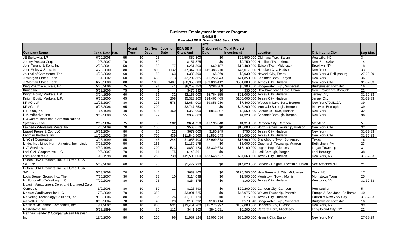|                                               |                 |                 |                 |                |                  |                  | <b>Amt.</b>                       |            |                                               |                               |           |
|-----------------------------------------------|-----------------|-----------------|-----------------|----------------|------------------|------------------|-----------------------------------|------------|-----------------------------------------------|-------------------------------|-----------|
|                                               |                 |                 | Grant           | <b>Est New</b> | Jobs to          | <b>EDA BEIP</b>  | <b>Disbursed to Total Project</b> |            |                                               |                               |           |
| <b>Company Name</b>                           | Exec. Date Pct. |                 | <b>Term</b>     | <b>Jobs</b>    | <b>Date</b>      | <b>Grant Amt</b> | Date                              | Investment | Location                                      | <b>Originating City</b>       | Leg Dist. |
| JE Berkowitz, LP                              | 6/12/2008       | 55              | 10 <sup>1</sup> | 25             |                  | \$52,500         | \$0                               |            | \$22,500,000 Oldmans Twp., Salem              | Westville, NJ                 | 3         |
| Jersey Precast Corp                           | 2/5/2007        | 70              | 10              | 50             |                  | \$157,375        | $\sqrt{6}$                        |            | \$9,750,000 Hamilton Twp., Mercer             | <b>New Brunswick</b>          | 14        |
| John Turano & Sons. Inc.                      | 12/28/2001      | 50              | 10              | 83             | $\overline{77}$  | \$261.300        | \$69,187                          |            | \$10,400,000 Edison Twp., Middlesex           | Brooklyn, NY                  | 18        |
| John Wiley & Sons, Inc.                       | 4/28/2000       | 80              | $\overline{10}$ | 800            | 1132             | \$7,347,200      | \$15,386,270                      |            | \$46,017,000 Hoboken City, Hudson             | New York                      | 33        |
| Journal of Commerce, The                      | 4/28/2000       | $\overline{60}$ | $\overline{10}$ | 83             | 63               | \$389,590        | \$5,869                           |            | \$2,030,000 Newark City, Essex                | New York & Phillipsburg       | 27-28-29  |
| JPMorgan Chase Bank                           | 1/31/2002       | $\overline{60}$ | 10              | 433            | 273              | \$2,209,865      | \$1,255,043                       |            | \$71,850,000 Carlstadt Boro, Bergen           | New York                      | 36        |
| JPMorgan Chase Bank                           | 6/28/2000       | 80              | 10              | 1000           | 1407             | \$20,958,000     | \$29,096,412                      |            | \$561,000,000 Jersey City, Hudson             | <b>New York City</b>          | 31-32-33  |
| King Pharmaceuticals, Inc.                    | 5/25/2006       | 75              | 10              | 91             | 41               | \$8,253,750      | \$286,309                         |            | \$5,900,000 Bridgewater Twp., Somerset        | <b>Bridgewater Township</b>   | 16        |
| Kirusa Inc.                                   | 5/22/2006       | 75              | 10              | 41             |                  | \$475,395        | \$0                               |            | \$30,000 New Providence Boro, Union           | New Providence Borough        | 22        |
| Knight Equity Markets, L.P.                   | 3/24/1999       | 60              | 10              | 31             | 32               | \$2,165,000      | \$5,764,355                       |            | \$21,000,000 Jersey City, Hudson              | Jersey City                   | 31-32-33  |
| Knight Equity Markets, L.P.                   | 6/30/2000       | 65              | 10              | 56             | 208              | \$5,323,200      | \$14,463,465                      |            | \$100,000,000 Jersey City, Hudson             | <b>Jersey City</b>            | 31-32-33  |
| <b>KPMG LLP</b>                               | 12/23/1997      | 80              | $\overline{10}$ | 275            | 578              | \$2,684,000      | \$9,856,930                       |            | \$7,400,000 Woodcliff Lake Boro, Bergen       | New York, TX, IL, GA          | 39        |
| <b>KPMG LLP</b>                               | 10/26/2006      | 65              | $\overline{10}$ | 200            |                  | \$3,747,250      | \$0                               |            | \$46,200,000 Montvale Borough, Bergen         | Montvale Borough              | 39        |
| L.I. 2000, Inc.                               | 3/4/1998        | 40              | $\overline{10}$ | 416            | 460              | \$350,000        | \$846,307                         |            | \$3,550,000 Secaucus Town, Hudson             | New York                      | 32        |
| L.V. Adhesive, Inc.                           | 9/19/2008       | 55              | 10              | 77             |                  | \$369,889        | \$0                               |            | \$4,320,000 Carlstadt Borough, Bergen         | <b>New York</b>               | 36        |
| L-3 Communications, Communications            |                 |                 |                 |                |                  |                  |                                   |            |                                               |                               |           |
| Systems - East                                | 2/19/2004       | 75              | 10              | 50             | 302              | \$654,750        | \$1,195,048                       |            | \$1,319,000 Camden City, Camden               | Maryland                      | 5         |
| LaFrieda Wholesale Meats, Inc.                | 7/6/2009        | 70              | $\overline{10}$ | 100            |                  | \$568,610        | $\overline{30}$                   |            | \$18,000,000 North Bergen Township, Hudson    | <b>New York City</b>          | 32        |
| Lazard Freres & Co., LLC                      | 10/21/2004      | 80              | 6               | 25             | 22               | \$672,000        | \$180,249                         |            | \$750,000 Jersey City, Hudson                 | New York                      | 31-32-33  |
| Lehman Brothers, Inc.                         | 11/12/2002      | 80              | $\overline{10}$ | 700            | 439              | \$11,540,900     | \$1,591,943                       |            | \$60,000,000 Jersey City, Hudson              | <b>New York City</b>          | 31-32-33  |
| <b>LifeCell Corporation</b>                   | 3/26/1999       | 55              | $\overline{10}$ | 146            | 344              | \$1,058,400      | \$2,909,378                       |            | \$18,600,000 Branchburg Twp., Somerset        | Texas                         | 16        |
| Linde, Inc., Linde North America, Inc., Linde | 3/23/2009       | 50              | $\overline{10}$ | 166            |                  | \$1,139,175      | $\sqrt{6}$                        |            | \$3,000,000 Greenwich Township, Warren        | Bethlehem, PA                 | 23        |
| LNT Services, Inc.                            | 4/30/1998       | 80              | $\overline{10}$ | 200            | 523              | \$869,120        | \$3,339,673                       |            | \$15,100,000 Logan Twp., Gloucester           | Logan Township                | 3         |
| Lodi CML Cooperative LLC                      | 12/6/2007       | 70              | $\overline{10}$ | 61             | $\overline{75}$  | \$149,561        | $\sqrt{6}$                        |            | \$1 Lodi Borough, Bergen                      | Lodi Borough                  | 38        |
| Lord Abbett & Co.                             | 9/3/1998        | 80              | 10              | 250            | 739              | \$15,500,000     | \$53,648,627                      |            | \$87,663,000 Jersey City, Hudson              | New York, NY                  | 31-32-33  |
| L'Oreal USA Products, Inc. & L'Oreal USA      |                 |                 |                 |                |                  |                  |                                   |            |                                               |                               |           |
| S/D, Inc.                                     | 5/13/2008       | 60              | 10              | 80             |                  | \$1,477,920      | \$0                               |            | \$14,020,000 Berkeley Heights Township, Union | See Attached NJ               | 21        |
| L'Oreal USA Products, Inc. & L'Oreal USA      |                 |                 |                 |                |                  |                  |                                   |            |                                               |                               |           |
| S/D, Inc.                                     | 5/13/2008       | 70              | 10              | 40             |                  | \$639,100        | \$0                               |            | \$120,200,000 New Brunswick City, Middlesex   | Clark, NJ                     | 17        |
| Louis Berger Group, Inc., The                 | 7/25/2007       | 30              | 10              | 33             | 10               | \$114,098        | \$0                               |            | \$1,500,000 Morristown Town, Morris           | Morristown Town               | 25        |
| M. Fortunoff of Westbury LLC                  | 7/20/2006       | 80              | 10              | 75             |                  | \$264,375        | $\sqrt{6}$                        |            | \$100,000 Jersey City, Hudson                 | Westbury, NY                  | 31-32-33  |
| Maksin Management Corp. and Managed Care      |                 |                 |                 |                |                  |                  |                                   |            |                                               |                               |           |
| Concepts                                      | 1/2/2008        | 80              | 10              | 50             | 12               | \$126,490        | \$0                               |            | \$29,200,000 Camden City, Camden              | Pennsauken                    | 5         |
| Maquet Cardiovascular LLC                     | 7/9/2009        | 70              | 10              | 350            |                  | \$3,901,625      | \$0                               |            | \$45,075,000 Wayne Township, Passaic          | Europe & San Jose, California | 40        |
| Marketing Technology Solutions, Inc.          | 9/18/2006       | 80              | $\overline{10}$ | 36             | 26               | \$1,113,120      | \$0                               |            | \$75,000 Jersey City, Hudson                  | Edison & New York City        | 31-32-33  |
| marketRX, Inc.                                | 8/13/2004       | 70              | $\overline{10}$ | 40             | 23               | \$183,792        | \$103,114                         |            | \$573,840 Bridgewater Twp., Somerset          | <b>Bridgewater Township</b>   | 16        |
| Marsh & McLennan Companies, Inc.              | 3/1/2002        | 80              | $\overline{10}$ | 800            | 931              | \$12,451,200     | \$15,275,997                      |            | \$159,000,000 Hoboken City, Hudson            | New York, NY                  | 33        |
| Mastertaste, Inc.                             | 5/27/1999       | 80              | 10              | 85             | $\overline{112}$ | \$441,360        | \$841,631                         |            | \$5.200.000 Carteret Boro, Middlesex          | Long Island City, NY          | 22        |
| Matthew Bender & Company/Reed Elsevier        |                 |                 |                 |                |                  |                  |                                   |            |                                               |                               |           |
| Inc.                                          | 12/5/2000       | 80              | 10              | 205            | 96               | \$1,987,124      | \$2,003,534                       |            | \$35,200,000 Newark City, Essex               | New York, NY                  | 27-28-29  |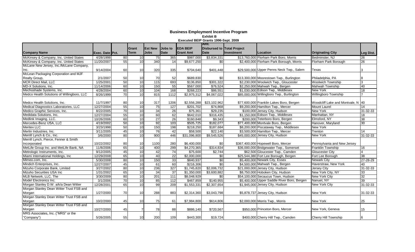|                                            |                        |                 |                 |                  |                 |                  | Amt.                              |            |                                             |                                   |                 |
|--------------------------------------------|------------------------|-----------------|-----------------|------------------|-----------------|------------------|-----------------------------------|------------|---------------------------------------------|-----------------------------------|-----------------|
|                                            |                        |                 | Grant           | <b>IEst New</b>  | Jobs to         | <b>EDA BEIP</b>  | <b>Disbursed to Total Project</b> |            |                                             |                                   |                 |
| <b>Company Name</b>                        | <b>Exec. Date Pct.</b> |                 | <b>Term</b>     | <b>Jobs</b>      | <b>Date</b>     | <b>Grant Amt</b> | Date                              | Investment | Location                                    | <b>Originating City</b>           | Leg Dist.       |
| McKinsey & Company, Inc. United States     | 4/28/1998              | 80              | 10 <sup>1</sup> | 75               | 365             | \$987,000        | \$3,834,331                       |            | \$13,760,000 Florham Park Boro, Morris      | Bedminster, NJ                    | 26              |
| McKinsey & Company, Inc. United States     | 11/20/2007             | 55              | 10              | 340              | 14              | \$9,677,250      | \$0                               |            | \$2,400,000 Florham Park Borough, Morris    | Florham Park Borough              | $\overline{26}$ |
| McLane New Jersey, Inc./McLane Company,    |                        |                 |                 |                  |                 |                  |                                   |            |                                             |                                   |                 |
| Inc.                                       | 9/14/2004              | 60              | 10              | 320              | 335             | \$704,640        | \$401,448                         |            | \$29,500,000 Upper Penns Neck Twp., Salem   | Texas                             | 3               |
| McLean Packaging Corporation and MJF       |                        |                 |                 |                  |                 |                  |                                   |            |                                             |                                   |                 |
| Realty Group,                              | 2/1/2007               | 50              | 10              | 70               | 52              | \$689,830        | \$0                               |            | \$13,300,000 Moorestown Twp., Burlington    | Philadelphia, PA                  |                 |
| <b>MCR Direct Mail, LLC</b>                | 1/25/2001              | 50              | 10              | $\frac{115}{2}$  | 693             | \$136,850        | \$301,322                         |            | \$2,230,000 Woolwich Twp., Gloucester       | <b>Woolwich Township</b>          | 3               |
| MD-X Solutions, Inc.                       | 11/14/2006             | 60              | 10              | 150              | 55              | \$567,000        | \$76,524                          |            | \$2,250,000 Mahwah Twp., Bergen             | <b>Mahwah Township</b>            | 40              |
| Mechoshade Systems, Inc.                   | 4/28/2004              | 60              | 10              | 104              | 168             | \$268,223        | \$86,551                          |            | \$1,030,000 Edison Twp., Middlesex          | New York                          | 18              |
| Medco Health Solutions of Willingboro, LLC | 8/26/1999              | $\overline{70}$ | $\overline{10}$ | 815              | 1112            | \$2,975,312      | \$4,067,022                       |            | \$85,000,000 Willingboro Twp., Burlington   | <b>Willingboro Township</b>       |                 |
|                                            |                        |                 |                 |                  |                 |                  |                                   |            |                                             |                                   |                 |
| Medco Health Solutions. Inc.               | 11/7/1997              | 80              | 10              | 317              | 1206            | \$2,556,288      | \$23,102,962                      |            | \$77,600,000 Franklin Lakes Boro, Bergen    | Woodcliff Lake and Montvale, N 40 |                 |
| Medical Diagnostics Laboratories, LLC      | 12/27/2004             | 55              | 10              | 75               | 127             | \$201,702        | \$74,868                          |            | \$9,200,000 Hamilton Twp., Mercer           | <b>Mount Laurel</b>               | 14              |
| Medico Graphic Services, Inc.              | 8/22/2005              | 70              | $\overline{10}$ | 34               | 26              | \$75,361         | \$29,235                          |            | \$100,000 Jersey City, Hudson               | <b>New York</b>                   | 31-32-33        |
| Medidata Solutions, Inc.                   | 12/27/2004             | 55              | 10              | 60               | 62              | \$642,010        | \$316,435                         |            | \$1,150,000 Edison Twp., Middlesex          | Manhattan, NY                     | 18              |
| Medlink Imaging, LLC.                      | 10/26/2006             | 60              | 10              | 27               | 26              | \$160,848        | \$9,343                           |            | \$200,000 Teterboro Boro, Bergen            | Elmsford, NY                      | 38              |
| Mercedes-Benz USA, LLC                     | 4/19/2002              | 50              | 10              | 92               | 103             | \$505,725        | \$182,077                         |            | \$77,400,000 Montvale Boro, Bergen          | Hanover, Maryland                 | $\overline{30}$ |
| <b>Meritex LLC</b>                         | 3/23/1998              | 50              | 10              | 150              | 198             | \$218,250        | \$187,684                         |            | \$8,200,000 Piscataway Twp., Middlesex      | New York                          |                 |
| Merlin Industries, Inc.                    | 3/11/2005              | 45              | 10              | 76               | 42              | \$58,500         | \$22,140                          |            | \$3,500,000 Hamilton Twp., Mercer           | Trenton                           | 14              |
| Merrill Lynch & Co., Inc.                  | 3/6/2000               | 80              | 10              | 900              | 446             | \$31,096,800     | \$9,545,526                       |            | \$45,000,000 Jersey City, Hudson            | <b>New York</b>                   | 31-32-33        |
| Merrill Lynch, Pierce, Fenner & Smith      |                        |                 |                 |                  |                 |                  |                                   |            |                                             |                                   |                 |
| Incorporated                               | 10/22/2002             | 80              | 10              | 1100             | 280             | \$6,400,000      | \$0                               |            | \$367,400,000 Hopewell Boro, Mercer         | Pennsylvania and New Jersey       |                 |
| MetLife Group Inc. and MetLife Bank, NA    | 11/8/2006              | 65              | 10              | 400              | 299             | \$4,270,365      | \$314,834                         |            | \$36,000,000 Bridgewater Twp., Somerset     | Franklin Township                 | 16              |
| Metrologic Instruments, Inc.               | 9/12/2005              | 45              | 10              | 42               | $\overline{74}$ | \$75,600         | \$2,744                           |            | \$62,500 Gloucester Twp., Camden            | <b>Gloucester City</b>            |                 |
| Miami International Holdings, Inc          | 12/29/2008             | 65              | 10              | 40               | 22              | \$2,000,000      | \$0                               |            | \$25,544,380 Fort Lee Borough, Bergen       | Fort Lee Borough                  | 38              |
| Mimeo.com, Inc.                            | 5/30/2008              | 80              | $\overline{10}$ | 150              | 33              | \$840,937        | \$0                               |            | \$5,400,000 Newark City, Essex              | <b>Newark City</b>                | 27-28-29        |
| Mindich Enterprises, Inc.                  | 12/27/2007             | 45              | 10              | 61               | 60              | \$216,306        | \$0                               |            | \$4,500,000 Mahwah Twp., Bergen             | Haverstraw, New York              | 40              |
| Mizuho Corporate Bank, Limited             | 3/27/2002              | 80              | $\overline{10}$ | 236              | 327             | \$1,745,820      | \$2,006,732                       |            | \$21,000,000 Jersey City, Hudson            | Jersey City                       | $31 - 32 - 33$  |
| Mizuho Securities USA Inc                  | 1/31/2002              | 65              | $\overline{10}$ | $\overline{34}$  | 37              | \$1,350,000      | \$3,600,882                       |            | \$8,750,000 Hoboken City, Hudson            | New York City, NY                 | 33              |
| MLB Network, LLC, The                      | 3/30/2009              | 80              | 10              | $\overline{201}$ | 111             | \$8,048,929      | \$0                               |            | \$54,100,000 Secaucus Town, Hudson          | <b>New York City</b>              | 32              |
| Model Electronics Inc.                     | 3/1/2006               | 70              | 10              | 85               | 112             | \$467,859        | \$140,955                         |            | \$5,400,000 Upper Saddle River Boro, Bergen | Nanuet, NY                        | 39              |
| Morgan Stanley D.W. a/k/a Dean Witter      | 12/28/2001             | 65              | $\overline{10}$ | 99               | 209             | \$1,553,331      | \$2,307,654                       |            | \$1,945,000 Jersey City, Hudson             | <b>New York City</b>              | 31-32-33        |
| Morgan Stanley Dean Witter Trust FSB and   |                        |                 |                 |                  |                 |                  |                                   |            |                                             |                                   |                 |
| Morgan                                     | 1/27/2000              | 70              | 10              | 288              | 883             | \$2,314,360      | \$3,043,798                       |            | \$5,878,737 Jersey City, Hudson             | <b>New York</b>                   | 31-32-33        |
| Morgan Stanley Dean Witter Trust FSB and   |                        |                 |                 |                  |                 |                  |                                   |            |                                             |                                   |                 |
| Morgan                                     | 10/2/2000              | 45              | 10              | 75               | 61              | \$7,984,800      | \$614,806                         |            | \$2,000,000 Morris Twp., Morris             | <b>New York</b>                   | 25              |
| Morgan Stanley Dean Witter Trust FSB and   |                        |                 |                 |                  |                 |                  |                                   |            |                                             |                                   |                 |
| Morgan                                     | 10/27/2000             | 45              |                 | 78               | 88              | \$886,140        | \$720,567                         |            | \$950,000 Princeton Boro, Mercer            | New York, Geneva                  | 15              |
| MRS Associates, Inc. ("MRS" or the         |                        |                 |                 |                  |                 |                  |                                   |            |                                             |                                   |                 |
| "Company")                                 | 5/26/2005              | 55              | 10 <sup>1</sup> | 200              | 109             | \$443,300        | \$19,724                          |            | \$400,000 Cherry Hill Twp., Camden          | Cherry Hill Township              | 6               |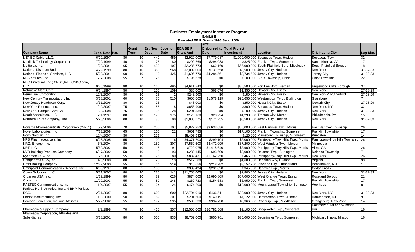|                                              |                        |                 |                 |                 |                |                  | Amt.                              |            |                                                |                                |                 |
|----------------------------------------------|------------------------|-----------------|-----------------|-----------------|----------------|------------------|-----------------------------------|------------|------------------------------------------------|--------------------------------|-----------------|
|                                              |                        |                 | Grant           | <b>Est New</b>  | Jobs to        | <b>EDA BEIP</b>  | <b>Disbursed to Total Project</b> |            |                                                |                                |                 |
| <b>Company Name</b>                          | <b>Exec. Date Pct.</b> |                 | Term            | <b>Jobs</b>     | <b>Date</b>    | <b>Grant Amt</b> | <b>Date</b>                       | Investment | Location                                       | <b>Originating City</b>        | Leg Dist.       |
| MSNBC Cable L.L.C.                           | 6/19/1997              | 80              | 10 <sup>1</sup> | 440             | 459            | \$2,920,000      | \$7,779,087                       |            | \$1,090,000,000 Secaucus Town, Hudson          | Secaucus Town                  | 32              |
| <b>Multilink Technology Corporation</b>      | 7/29/1999              | 40              | 9               | 75              | 80             | \$292,269        | \$294,088                         |            | \$825,000 Franklin Twp., Somerset              | Santa Monica, CA               | $\overline{17}$ |
| Multiplex, Inc.                              | 1/29/2001              | 65              | 10              | 430             | 107            | \$2,285,773      | \$62,160                          |            | \$66,000,000 South Plainfield Boro, Middlesex  | South Plainfield Borough       | 18              |
| <b>National Discount Brokers</b>             | 4/29/1999              | 80              | 10              | 350             | 568            | \$2,009,000      | \$731,658                         |            | \$3,500,000 Jersey City, Hudson                | <b>New York</b>                | 31-32-33        |
| National Financial Services, LLC             | 5/23/2001              | 60              | 10              | 110             | 425            | \$1,606,770      | \$4,284,561                       |            | \$3,734,500 Jersey City, Hudson                | <b>Jersey City</b>             | 31-32-33        |
| NB Ventures, Inc.                            | 7/7/2008               | 55              |                 | $\overline{25}$ |                | \$195,628        | $\overline{50}$                   |            | \$100,000 Clark Township, Union                | <b>Clark Township</b>          | 22              |
| NBC Universal, Inc.; CNBC, Inc.; CNBC.com,   |                        |                 |                 |                 |                |                  |                                   |            |                                                |                                |                 |
| <b>LLC</b>                                   | 9/30/1999              | 80              | 10              | 160             | 495            | \$4,611,840      | \$0                               |            | \$80,500,000 Fort Lee Boro, Bergen             | Englewood Cliffs Borough       | 37              |
| Nebraska Meat Corp.                          | 6/24/1997              | 50              | 5 <sub>l</sub>  | 100             | 159            | \$36,000         | \$68,076                          |            | \$1,350,000 Newark City, Essex                 | New York                       | 27-28-29        |
| NeuroTrax Corporation                        | 12/3/2007              | 80              | 10              | 15              | $\overline{2}$ | \$243,900        | $\sqrt{6}$                        |            | \$150,000 Newark City, Essex                   | New York & Rutherford          | 27-28-29        |
| New Century Transportation, Inc.             | 3/28/2001              | 60              | 10              | 75              | 510            | \$606.600        | \$1,578,119                       |            | \$20,650,000 Westampton Twp., Burlington       | Glassboro                      |                 |
| New Jersey Headwear Corp.                    | 3/31/2006              | 80              | 10              | 25              |                | \$48,000         | \$0                               |            | \$250,000 Newark City, Essex                   | <b>Newark City</b>             | 27-28-29        |
| New York Produce, Inc.                       | 1/19/2007              | $\overline{75}$ | 10              | 55              | 18             | \$656,906        | \$0                               |            | \$800,000 Secaucus Town, Hudson                | New York, NY                   | 32              |
| New York Sample Card Co.                     | 1/23/2008              | $\overline{75}$ | 10              | 35              | 28             | \$201,534        | $\overline{60}$                   |            | \$100,000 Jersey City, Hudson                  | <b>New York</b>                | 31-32-33        |
| Noark Associates, LLC                        | 7/1/1997               | 80              | 10              | 170             | 175            | \$178,160        | \$28,224                          |            | \$1,290,000 Trenton City, Mercer               | Philadelphia, PA               | 15              |
| Northern Trust Company, The                  | 5/26/2006              | 80              | 10              | 90              | 80             | \$1,003,275      | \$171,255                         |            | \$3,500,000 Jersey City, Hudson                | New York                       | 31-32-33        |
|                                              |                        |                 |                 |                 |                |                  |                                   |            |                                                |                                |                 |
| Novartis Pharmaceuticals Corporation ("NPC") | 5/9/2006               | 70              | 10              | 250             | 707            | \$5,822,250      | \$3,633,686                       |            | \$60,000,000 East Hanover Twp., Morris         | <b>East Hanover Township</b>   | 26              |
| Novel Laboratories, Inc.                     | 7/23/2008              | 65              | 10              | 100             | 21             | \$601,785        | \$0                               |            | \$17,100,000 Franklin Township, Somerset       | Franklin Township              | $\overline{17}$ |
| Novo Nordisk, Inc.                           | 12/4/2007              | 80              | 10              | 211             |                | \$5,405,932      | $\overline{50}$                   |            | \$120,000 Plainsboro Township, Middlesex       | Princeton                      | 14              |
| NPS Pharmaceuticals, Inc.                    | 6/23/2005              | 55              | 10              | 100             | 16             | \$4,371,200      | \$299,104                         |            | \$2,000,000 Parsippany-Troy Hills Twp., Morris | Parsippany-Troy Hills Township | 26              |
| NRG, Energy, Inc.                            | 6/8/2004               | 80              | 10              | 150             | 307            | \$7,560,600      | \$3,472,099                       |            | \$37,200,000 West Windsor Twp., Mercer         | Minnesota                      |                 |
| <b>NRT LLC</b>                               | 5/30/2002              | 50              | 10              | 115             | 91             | \$720,075        | \$1,415,640                       |            | \$2,900,000 Parsippany-Troy Hills Twp., Morris | Viejo, CA                      | 26              |
| <b>NVR Building Products Company</b>         | 6/17/2002              | 50              | 10              | 110             | 93             | \$288,145        | \$93,690                          |            | \$2,000,000 Delanco Twp., Burlington           | <b>Delanco Township</b>        |                 |
| Nycomed USA Inc.                             | 1/25/2001              | 55              | 10              | 75              | 80             | \$882,431        | \$1,162,250                       |            | \$465,000 Parsippany-Troy Hills Twp., Morris   | New York                       | 26              |
| Octapharma USA, Inc.                         | 4/8/2008               | 80              | 10              | 25              | 13             | \$517,500        | \$0                               |            | \$1,600,000 Hoboken City, Hudson               | Virginia                       | 33              |
| Omni Baking Company                          | 12/27/2000             | 55              | 10              | 44              | 319            | \$40,656         | \$218,282                         |            | \$8,157,200 Vineland City, Cumberland          | Pennsauken, N.J                |                 |
| Omnipoint Communications Services, Inc.      | 6/30/1997              | 80              | 5 <sub>l</sub>  | 133             |                | \$389,424        | \$231,828                         |            | \$345,000 Hanover Twp., Morris                 | <b>Cedar Knolls</b>            |                 |
| Opera Solutions, LLC.                        | 5/31/2007              | 80              | 10              | 235             | 141            | \$11,750,000     | $\overline{50}$                   |            | \$2,800,000 Jersey City, Hudson                | <b>New York</b>                | 31-32-33        |
| Organon USA, Inc.                            | 1/29/1999              | 80              | 10              | 89              | 626            | \$874,000        | \$2,690,809                       |            | \$67,000,000 West Orange Town, Essex           | Roseland Borough               | 21              |
| Oticon Inc.                                  | 11/20/2003             | 55              | 10              | 80              | 148            | \$269,720        | \$154,683                         |            | \$6,950,000 Franklin Twp., Somerset            | <b>Franklin Township</b>       | 17              |
| PAETEC Communications, Inc.                  | 1/4/2007               | 55              | 10              | $\overline{24}$ | 24             | \$474,200        | \$0                               |            | \$12,000,000 Mount Laurel Township, Burlington | Voorhees                       | 8               |
| Paribas North America, Inc.and BNP Paribas   |                        |                 |                 |                 |                |                  |                                   |            |                                                |                                |                 |
| RCC,                                         | 2/21/2007              | 80              | 10 <sup>1</sup> | 600             | 600            | \$22,704,910     | \$436,511                         |            | \$22,000,000 Jersey City, Hudson               | New York, NY                   | 31-32-33        |
| Patriot Manufacturing, Inc.                  | 1/3/2000               | 50              | 10              | 159             | 207            | \$201,600        | \$149,191                         |            | \$7,122,000 Hammonton Town, Atlantic           | Hammonton, NJ                  | 9               |
| Pearson Education, Inc. and Affiliates       | 5/22/2002              | 55              | 10              | 197             | 395            | \$580,230        | \$994,738                         |            | \$8,366,666 Cranbury Twp., Middlesex           | Orangeburg, New York           | 14              |
|                                              |                        |                 |                 |                 |                |                  |                                   |            |                                                | Kalamazoo, MI and Windsor,     |                 |
| Pharmacia & Upjohn Company                   | 2/2/1998               | 70              | 10 <sup>1</sup> | 460             | 357            | \$12,500,000     | \$36,782,568                      |            | \$9,100,000 Bridgewater Twp., Somerset         | Uni                            | 16              |
| Pharmacia Corporation, Affiliates and        |                        |                 |                 |                 |                |                  |                                   |            |                                                |                                |                 |
| Subsidiaries                                 | 3/28/2001              | 80              | 10 <sup>1</sup> | 500             | 935            | \$8,752,000      | \$850,761                         |            | \$30,000,000 Bedminster Twp., Somerset         | Michigan, Illinois, Missouri   | 16              |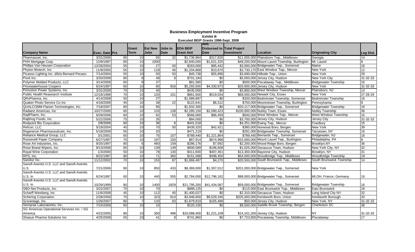|                                            |                 |                 |                 |                 |             |                  | Amt.                              |            |                                                |                             |                |
|--------------------------------------------|-----------------|-----------------|-----------------|-----------------|-------------|------------------|-----------------------------------|------------|------------------------------------------------|-----------------------------|----------------|
|                                            |                 |                 | Grant           | <b>IEst New</b> | Jobs to     | <b>EDA BEIP</b>  | <b>Disbursed to Total Project</b> |            |                                                |                             |                |
| <b>Company Name</b>                        | Exec. Date Pct. |                 | <b>Term</b>     | <b>Jobs</b>     | <b>Date</b> | <b>Grant Amt</b> | Date                              | Investment | Location                                       | <b>Originating City</b>     | Leg Dist.      |
| Pharmasset, Inc.                           | 3/31/2006       | 80              | 10 <sup>1</sup> | 65              | 32          | \$1,736,864      | \$317,820                         |            | \$11,005,000 Plainsboro Twp., Middlesex        | Georgia                     | 14             |
| PHH Mortgage Corp.                         | 12/9/1997       | 80              | 10              | 1000            |             | \$2,840,000      | \$1,621,325                       |            | \$48,200,000 Mount Laurel Township, Burlington | Mt. Laurel                  | $\overline{8}$ |
| Phillips Van Heusen Corporation            | 12/28/2004      | 55              | $\overline{10}$ | $\overline{27}$ | 50          | \$263,000        | \$95,442                          |            | \$3,000,000 Bridgewater Twp., Somerset         | Maine                       | 16             |
| Phyton Biotech, Inc.                       | 11/9/2005       | 55              | 10              | 118             | 46          | \$1,204,868      | \$10,670                          |            | \$2,730,170 East Windsor Twp., Mercer          | <b>New York</b>             | 12             |
| Picasso Lighting Inc. d/b/a Bernard Pecaso | 7/14/2004       | 55              | 10              | 50              | 50          | \$45,738         | \$55,890                          |            | \$3,690,000 Hillside Twp., Union               | <b>New York</b>             | 29             |
| Pivot Inc.                                 | 3/20/2008       | 80              | 8               | 48              | ø           | \$701,184        | \$0                               |            | \$5,000,000 Jersey City, Hudson                | <b>New York City</b>        | 31-32-33       |
| Polymer Molded Products, LLC               | 3/14/2006       | 60              | 8               | 37              |             | \$81,580         | $\sqrt[6]{}$                      |            | \$500,000 Piscataway Twp., Middlesex           | <b>Bridgewater Township</b> | 16             |
| <b>Pricewaterhouse Coopers</b>             | 6/24/1997       | 60              | 10              | 80              | 916         | \$5,293,600      | \$4,330,973                       |            | \$20,600,000 Jersey City, Hudson               | <b>New York</b>             | 31-32-33       |
| Princeton Power Systems, Inc.              | 3/31/2009       | 70              | 10              | 40              |             | \$435,000        | \$0                               |            | \$3,800,000 West Windsor Township, Mercer      | Plainsboro, NJ              | 14             |
| Public Health Reasearch Institute          | 12/18/1998      | $\overline{70}$ | 10              | 120             | 101         | \$861,600        | \$519,034                         |            | \$68,000,000 Newark City, Essex                | <b>New York</b>             | 27-28-29       |
| QRxPharma, Inc.                            | 4/14/2008       | 50              | 10              | 27              |             | \$1,089,897      | \$0                               |            | \$320,000 Bedminster Township, Somerset        | <b>Bedminster Township</b>  | 16             |
| Quaker Photo Service Co Inc                | 4/18/2006       | 45              | 10              | 38              | 22          | \$122,641        | \$6,312                           |            | \$750,000 Moorestown Township, Burlington      | Pennsylvania                | 8              |
| <b>QUALCOMM Flarion Technologies, Inc.</b> | 7/18/2007       | 80              | 10              | 95              |             | \$1,932,300      | \$0                               |            | \$20,117,000 Bridgewater Twp., Somerset        | <b>Bridgewater Township</b> | 16             |
| Radianz Americas, Inc.                     | 10/27/2000      | 60              | $\overline{10}$ | 133             | 138         | \$2,285,150      | \$2,090,423                       |            | \$100,000,000 Nutley Town, Essex               | <b>Nutley Township</b>      | 36             |
| RadPharm, Inc.                             | 9/29/2006       | 60              | 10              | 62              | 53          | \$566,060        | \$86,459                          |            | \$500,000 West Windsor Twp., Mercer            | West Windsor Township       | 15             |
| Rajbhog Foods, Inc.                        | 5/22/2006       | 75              | 10              | 35              |             | \$84,000         | \$0                               |            | \$3,700,000 Jersey City, Hudson                | Jersey City                 | 31-32-33       |
| Redpoint Bio Corporation                   | 2/8/2006        | $\overline{60}$ | $\overline{10}$ | 36              | $6 \,$      | \$441,018        | $\overline{50}$                   |            | \$4,251,000 Ewing Twp., Mercer                 | Cranbury                    | 15             |
| Refcon, LLC                                | 5/19/2004       | 40              | $\overline{10}$ | 70              | 50          | \$439,320        | \$42,421                          |            | \$380,000 Norwood Boro, Bergen                 | <b>New York</b>             | 39             |
| Regeneron Pharmaceuticals, Inc.            | 5/18/2009       | 55              | $\overline{10}$ | 20              |             | \$471,219        | $\sqrt{6}$                        |            | \$291,000 Bridgewater Township, Somerset       | Tarrytown, NY               | 16             |
| Reliance Medical Group, LLC                | 3/1/2001        | 60              | 10              | 75              | 107         | \$789,440        | \$1,221,864                       |            | \$789,440 Bernards Twp., Somerset              | Bridgewater, NJ             | 16             |
| Roosevelt Paper Company                    | 6/27/1997       | 70              | 10              | 197             | 150         | \$67,914         | \$674,998                         |            | \$15,000,000 Mount Laurel Twp., Burlington     | Philadelphia, PA            | $\overline{8}$ |
| Rose Art Industries, Inc.                  | 9/25/1997       | 80              | 6               | 460             | 159         | \$286,176        | \$7,692                           |            | \$2,200,000 Wood-Ridge Boro, Bergen            | Brooklyn, NY                | 36             |
| Rose Brand Wipers, Inc.                    | 9/13/2006       | 80              | 10              | 139             | 149         | \$900,589        | \$196,608                         |            | \$1,025,000 Secaucus Town, Hudson              | New York City, NY           | 32             |
| <b>Royal Wine Corporation</b>              | 1/3/2000        | 50              | 10              | 78              | 130         | \$411,600        | \$407,461                         |            | \$13,350,000 Bayonne City, Hudson              | Brooklyn, NY                | 31             |
| RPS, Inc.                                  | 8/22/1997       | 80              | 10              | 71              | 360         | \$151,088        | \$498,450                         |            | \$64,000,000 Woodbridge Twp., Middlesex        | <b>Woodbridge Township</b>  | 19             |
| Sandoz Inc.                                | 11/12/2002      | $\overline{70}$ | 10              | 153             | 87          | \$1,866,487      | \$4,270                           |            | \$20,500,000 South Brunswick Twp., Middlesex   | South Brunswick Township    | 14             |
| Sanofi-Aventis U.S. LLC and Sanofi-Aventis |                 |                 |                 |                 |             |                  |                                   |            |                                                |                             |                |
| U.S.                                       | 7/21/2006       | 80              | 10              | 850             | 433         | \$8,369,000      | \$1,307,012                       |            | \$201,000,000 Bridgewater Twp., Somerset       | <b>New York</b>             |                |
| Sanofi-Aventis U.S. LLC and Sanofi-Aventis |                 |                 |                 |                 |             |                  |                                   |            |                                                |                             |                |
| U.S. In                                    | 6/24/1997       | 60              | 10              | 440             | 555         | \$2,784,000      | \$12,796,162                      |            | \$98,000,000 Bridgewater Twp., Somerset        | MI, OH, France, Germany     | 16             |
| Sanofi-Aventis U.S. LLC and Sanofi-Aventis |                 |                 |                 |                 |             |                  |                                   |            |                                                |                             |                |
| U.S. In                                    | 10/29/1999      | 80              | 10              | 1400            | 1829        | \$21,795,200     | \$41,434,087                      |            | \$59,000,000 Bridgewater Twp., Somerset        | <b>Bridgewater Township</b> | 16             |
| SBD Net Products, Inc.                     | 3/22/2007       | 75              | 10              | 70              |             | \$888,125        | \$0                               |            | \$115,000 East Brunswick Twp., Middlesex       | <b>East Brunswick</b>       | 18             |
| Scharff Weisberg, Inc                      | 11/6/2008       | 45              | 10              | $\frac{11}{2}$  | 45          | \$1,400,027      | \$0                               |            | \$2,310,000 Secaucus Town, Hudson              | Long Island City NY         | 32             |
| <b>Schering Corporation</b>                | 2/28/2000       | 70              | 10              | 323             | 814         | \$3,948,650      | \$9,529,346                       |            | \$205,000,000 Kenilworth Boro, Union           | Kenilworth Borough          | 20             |
| Scivantage, Inc.                           | 1/26/2007       | 80              | $\overline{7}$  | 120             | 83          | \$1,879,819      | \$165,488                         |            | \$50,000 Jersey City, Hudson                   | New York, NY                | 31-32-33       |
| Semprae Laboratories, Inc.                 | 7/24/2009       | 60              | 10              | 10              |             | \$220,100        | \$0                               |            | \$9,500,000 Saddle Brook Township, Bergen      | Charleston SC               | 38             |
| SG Americas Operational Services Inc. / SG |                 |                 |                 |                 |             |                  |                                   |            |                                                |                             |                |
| America                                    | 4/22/2005       | 80              | 10              | 350             | 496         | \$10,088,400     | \$1,221,109                       |            | \$14,101,200 Jersey City, Hudson               | <b>NY</b>                   | 31-32-33       |
| Shasun Pharma Solutions Inc                | 4/25/2008       | 55              | 10              | 41              | 8           | \$741,860        | \$0                               |            | \$7,723,800 Piscataway Township, Middlesex     | Piscataway                  | 17             |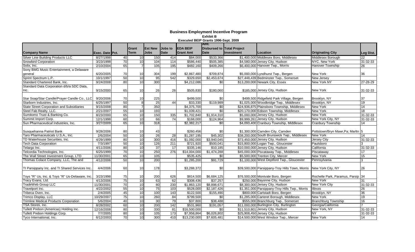|                                                  |                 |                 |                 |                |                 |                  | Amt.                              |            |                                                 |                                   |                 |
|--------------------------------------------------|-----------------|-----------------|-----------------|----------------|-----------------|------------------|-----------------------------------|------------|-------------------------------------------------|-----------------------------------|-----------------|
|                                                  |                 |                 | Grant           | <b>Est New</b> | <b>Jobs</b> to  | <b>EDA BEIP</b>  | <b>Disbursed to Total Project</b> |            |                                                 |                                   |                 |
| <b>Company Name</b>                              | Exec. Date Pct. |                 | Term            | <b>Jobs</b>    | Date            | <b>Grant Amt</b> | <b>Date</b>                       | Investment | <b>Location</b>                                 | <b>Originating City</b>           | Leg Dist.       |
| Silver Line Building Products LLC                | 8/27/1998       | 40              | 10              | 150            | 414             | \$84,000         | \$533,366                         |            | \$1,400,000 Middlesex Boro, Middlesex           | Middlesex Borough                 | 22              |
| <b>Snowbird Corporation</b>                      | 3/23/1998       | 70              | 10              | 104            | 114             | \$586,440        | \$505,385                         |            | \$4,580,000 Jersey City, Hudson                 | NYC, New York                     | 31-32-33        |
| Solix, Inc.                                      | 2/10/2004       | 65              |                 | 105            | 195             | \$482,160        | \$409,266                         |            | \$6,400,000 Hanover Twp., Morris                | <b>Hanover Township</b>           | 26              |
| Sony BMG Music Entertainment, a Delaware         |                 |                 |                 |                |                 |                  |                                   |            |                                                 |                                   |                 |
| general                                          | 6/20/2005       | 70              | 10              | 304            | 199             | \$2,867,480      | \$709,874                         |            | \$5,000,000 Lyndhurst Twp., Bergen              | New York                          | 36              |
| Sprint Spectrum L.P.                             | 10/1/1997       | 50              | 10              | 95             | 542             | \$329,650        | \$2,453,674                       |            | \$27,448,439 Bedminster Twp., Somerset          | <b>New Jersey</b>                 |                 |
| Standard Chartered Bank, Inc.                    | 9/24/2008       | 80 <sup>1</sup> | 10              | 300            |                 | \$4,212,086      | $\overline{50}$                   |            | \$13,200,000 Newark City, Essex                 | <b>New York NY</b>                | 27-28-29        |
| Standard Data Corporation d/b/a SDC Data,        |                 |                 |                 |                |                 |                  |                                   |            |                                                 |                                   |                 |
| Inc.                                             | 9/15/2000       | 65              | 10 <sup>1</sup> | 26             | 26              | \$505,830        | \$180,060                         |            | \$185,000 Jersey City, Hudson                   | New York                          | 31-32-33        |
|                                                  |                 |                 |                 |                |                 |                  |                                   |            |                                                 |                                   |                 |
| Star Soap/Star Candle/Prayer Candle Co., LLC     | 9/20/2006       | 70              | 10 <sup>1</sup> | 225            |                 | \$499.500        | \$0                               |            | \$499,500 Ridgefield Park Village, Bergen       | Brooklyn, NY                      | 37              |
| Starborn Industries, Inc.                        | 6/25/1997       | 50              | 8 <sup>1</sup>  | 25             | 44              | \$33,330         | \$119,989                         |            | \$1,025,000 Woodbridge Twp., Middlesex          | Brooklyn, NY                      | $\overline{19}$ |
| <b>State Street Corporation and Subsidiaries</b> | 9/15/2008       | 80              | $\overline{7}$  | 350            |                 | \$4,375,700      | \$0                               |            | \$24,936,875 Plainsboro Township, Middlesex     | <b>New York</b>                   | 14              |
| Steel Fab Realty, LLC.                           | 2/21/2007       | 55              | 10              | 193            |                 | \$1,039,421      | $\overline{60}$                   |            | \$20,170,000 Edison Township, Middlesex         | New York                          | 18              |
| Sumitomo Trust & Banking Co.                     | 8/23/2000       | 65              | 10              | 150            | 335             | \$1,702,840      | \$1,914,310                       |            | \$5,000,000 Jersey City, Hudson                 | <b>New York</b>                   | 31-32-33        |
| Summit Import Corp.                              | 12/1/1998       | 60              | 10              | 66             | 74              | \$168,000        | \$124,964                         |            | \$9,999,261 Jersey City, Hudson                 | New York City, NY                 | 31-32-33        |
| Sun Pharmaceutical Industries, Inc.              | 3/27/2009       | 65              | 10              | 318            |                 | \$2,382,217      | \$0                               |            | \$4,093,400 Cranbury Township, Middlesex        | Cranbury Township                 | 14              |
|                                                  |                 |                 |                 |                |                 |                  |                                   |            |                                                 |                                   |                 |
| Susquehanna Patriot Bank                         | 9/28/2006       | 80              | 10              | 43             |                 | \$260,456        | \$0                               |            | \$1,300,000 Camden City, Camden                 | Pottstown/Bryn Mawr, Pa; Marltn 5 |                 |
| Taro Pharmaceuticals U.S.A., Inc.                | 2/6/2004        | 50              | 10              | 26             | 28              | \$1,287,195      | \$45,302                          |            | \$38,200,000 South Brunswick Twp., Middlesex    | New York                          | 14              |
| TD Waterhouse Securities, Inc.                   | 4/29/1999       | 80              | 10              | 300            | 416             | \$1,092,000      | \$3,940,045                       |            | \$73,450,000 Jersey City, Hudson                | Jersey City                       | 31-32-33        |
| <b>Tech Data Corporation</b>                     | 7/3/1997        | 50              | 10              | 126            | 211             | \$721,920        | \$500,041                         |            | \$15,800,000 Logan Twp., Gloucester             | Paulsboro                         |                 |
| Telargo Inc.                                     | 4/11/2006       | 80              | 10              | 37             | $\overline{17}$ | \$335,146        | \$10,185                          |            | \$10,000,000 Jersey City, Hudson                | California                        | 31-32-33        |
| Telcordia Technologies, Inc.                     | 6/25/1999       | 70              | 10              | 250            | 276             | \$14,004,000     | \$1,474,288                       |            | \$45,000,000 Piscataway Twp., Middlesex         | Piscataway                        | 17              |
| The Wall Street Investment Group, LTD            | 11/30/2001      | 65              | 10              | 105            |                 | \$535,425        | \$0                               |            | \$5,500,000 Trenton City, Mercer                | New York                          | 15              |
| Thomas Colace Company, LLC, The and              | 4/12/2006       | 50              | 10              | 200            |                 | \$1,285,200      | \$91,729                          |            | \$1,100,000 West Deptford Twp., Gloucester      | Pennsylvania                      | 3               |
|                                                  |                 |                 |                 |                |                 |                  |                                   |            |                                                 |                                   |                 |
| TI Parsippany Inc. and TI Shared Services Inc.   | 4/4/2006        | 60              | 10 <sup>1</sup> | 178            |                 | \$3,288,372      | \$0                               |            | \$39,500,000 Parsippany-Troy Hills Town, Morris | New York City, NY                 | 26              |
|                                                  |                 |                 |                 |                |                 |                  |                                   |            |                                                 |                                   |                 |
| Toys "R" Us, Inc. & Toys "R" Us-Delaware, Inc.   | 3/23/1998       | 75              | 10 <sup>1</sup> | 200            | 626             | \$814,500        | \$6,684,125                       |            | \$76,500,000 Montvale Boro, Bergen              | Rochelle Park, Paramus, Parsip 34 |                 |
| Tracy Evans, Ltd.                                | 4/13/2006       | 75              | 10              | 63             | 62              | \$308,436        | \$37,257                          |            | \$250,000 Bayonne City, Hudson                  | <b>New York</b>                   | 31              |
| TradeWeb Group LLC                               | 11/30/2001      | 70              | 10              | 80             | 230             | \$1,863,120      | \$8,898,671                       |            | \$8,300,000 Jersey City, Hudson                 | New York City                     | 31-32-33        |
| Travelport Inc.                                  | 4/22/2002       | 55              | 10              | 75             | 103             | \$528,000        | \$2,187,426                       |            | \$1,351,000 Parsippany-Troy Hills Twp., Morris  | <b>Illinois</b>                   | 26              |
| Tribeca Oven, Inc.                               | 2/4/2005        | 45              | 10              | 100            | 143             | \$122,500        | \$155,490                         |            | \$800,000 Carlstadt Boro, Bergen                | Brooklyn, NY                      | 36              |
| Trimco Display, LLC                              | 10/29/2007      | 75              | 10              | 260            | 84              | \$799,500        | \$0                               |            | \$1,285,000 Carteret Borough, Middlesex         | New York                          | 19              |
| <b>Trimline Medical Products Corporation</b>     | 5/6/2004        | 40              | 10              | 30             | 79              | \$37,800         | \$38,488                          |            | \$555,000 Branchburg Twp., Somerset             | <b>Branchburg Township</b>        | 16              |
| TSA Stores, Inc.                                 | 8/28/2002       | 60              | 10              | 200            | 142             | \$531,960        | \$191,057                         |            | \$11,000,000 Burlington City, Burlington        | Georgia/California                |                 |
| Tullett Prebon (Americas) Holding Inc.           | 12/16/2008      | 80              | 10              | 330            | 81              | \$16,500,000     | $\frac{6}{5}$                     |            | \$11,510,801 Jersey City, Hudson                | New York, NY                      | 31-32-33        |
| Tullett Prebon Holdings Corp.                    | 7/7/2005        | 80              | 10              | 105            | 173             | \$7,958,864      | \$6,026,802                       |            | \$25,908,450 Jersey City, Hudson                | NY                                | 31-32-33        |
| Tyco International, Inc.                         | 6/12/2003       | 70              | 10              | 300            | 410             | \$13,230,000     | $\sqrt{$7,605,481}$               |            | \$14,500,000 West Windsor Twp., Mercer          | New York                          | 14              |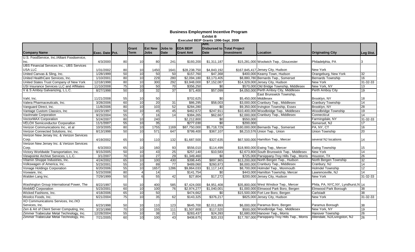|                                                  |                 |                 |                  |                 |                |                  | Amt.                              |                       |                                                 |                                    |                 |
|--------------------------------------------------|-----------------|-----------------|------------------|-----------------|----------------|------------------|-----------------------------------|-----------------------|-------------------------------------------------|------------------------------------|-----------------|
|                                                  |                 |                 | Grant            | <b>Est New</b>  | <b>Jobs</b> to | <b>EDA BEIP</b>  | <b>Disbursed to Total Project</b> |                       |                                                 |                                    |                 |
| <b>Company Name</b>                              | Exec. Date Pct. |                 | Term             | <b>Jobs</b>     | Date           | <b>Grant Amt</b> | <b>Date</b>                       | <b>Investment</b>     | Location                                        | <b>Originating City</b>            | Leg Dist.       |
| U.S. FoodService, Inc./Alliant Foodservice,      |                 |                 |                  |                 |                |                  |                                   |                       |                                                 |                                    |                 |
| Inc.                                             | 4/3/2000        | 80              | 10 <sup>1</sup>  | 80              | 241            | \$193,200        | \$1,311,187                       |                       | \$15,281,000 Woolwich Twp., Gloucester          | Philadelphia, PA                   |                 |
| <b>UBS Financial Services Inc., UBS Services</b> |                 |                 |                  |                 |                |                  |                                   |                       |                                                 |                                    |                 |
| <b>USA LLC</b>                                   | 1/31/2002       | 80              | 10 <sup>1</sup>  | 1450            | 1641           | \$28,238,750     | \$4,843,192                       |                       | \$167,845,417 Jersey City, Hudson               | New York                           |                 |
| United Canvas & Sling, Inc.                      | 1/28/1999       | 50              | 10               | 50              | 50             | \$157,760        | \$47,368                          |                       | \$400,000 Kearny Town, Hudson                   | Orangeburg, New York               | 32              |
| United HealthCare Services, Inc.                 | 1/10/2001       | 80              | 10               | 229             | 280            | \$2,094,180      | \$3,173,405                       |                       | \$8,880,780 Bernards Twp., Somerset             | <b>Bernards Township</b>           | $\overline{16}$ |
| United States Trust Company of New York          | 12/18/1998      | 80              | 10               | 300             | 292            | \$3,948,000      | \$7,152,087                       |                       | \$14,329,000 Jersey City, Hudson                | New York                           | 31-32-33        |
| <b>USI Insurance Services LLC and Affiliates</b> | 11/10/2008      | 75              | 10               | 50              | 70             | \$356,250        | \$0                               |                       | \$570,000 Old Bridge Township, Middlesex        | New York, NY                       | 13              |
| V & S Amboy Galvanizing, L.L.C.                  | 8/27/1998       | 50              | 10               | 32              | 37             | \$71,400         | \$57,099                          |                       | \$4,050,000 Perth Amboy City, Middlesex         | Perth Amboy City                   | 19              |
|                                                  |                 |                 |                  |                 |                |                  |                                   |                       | East Brunswick Township,                        |                                    |                 |
| Vahl, Inc.                                       | 11/21/2008      | 55              | 10 <sup>1</sup>  | 50              |                | \$702,625        | \$0                               | \$5,450,000 Middlesex |                                                 | Brooklyn, NY                       | 18              |
| Valera Pharmaceuticals, Inc.                     | 3/28/2006       | 60              | 10               | 20              | 31             | \$86,295         | \$58,003                          |                       | \$3,000,000 Cranbury Twp., Middlesex            | Cranbury Township                  | 14              |
| Vanguard Direct, Inc.                            | 11/8/2006       | 80              | 10               | 103             | 52             | \$284,280        | $\overline{50}$                   |                       | \$9,350,000 Irvington Township, Essex           | Brooklyn, NY                       | 28              |
| Vantage Custom Classics, Inc.                    | 10/23/1997      | 50              | 10               | 45              | 45             | \$462,672        | \$247,911                         |                       | \$10,400,000 Woodbridge Twp., Middlesex         | Woodbridge Township                | 19              |
| <b>VaxInnate Corporation</b>                     | 9/23/2004       | 55              | $\overline{7}$   | 16              | 14             | \$384,265        | \$62,667                          |                       | \$2,000,000 Cranbury Twp., Middlesex            | Connecticut                        | $\overline{14}$ |
| VectorMAX Corporation                            | 5/24/2007       | 80              | 10               | 240             |                | \$2,212,800      | \$0                               | \$550,000             |                                                 | Farmingdale, NY                    | 31-32-33        |
| <b>VELOX Semiconductor Corporation</b>           | 11/1/2007       | 55              | 10               | 35              |                | \$277,030        | \$0                               | \$200,000             |                                                 | Somerset, NJ                       | 17              |
| Verizon Communications Inc., et al               | 10/3/2005       | 80              | 10               | 1755            | 1169           | \$87,750,000     | \$5,718,729                       |                       | \$180,000,000 Bernards Twp., Somerset           | PA, NY, CT                         | 16              |
| Verizon Connected Solutions, Inc.                | 8/13/1998       | 50              | 10               | 571             | 647            | \$799,400        | \$367,107                         |                       | \$8,210,576 Union Twp., Union                   | Union Township                     | 20              |
| Verizon New Jersey Inc. & Verizon Services       |                 |                 |                  |                 |                |                  |                                   |                       |                                                 |                                    |                 |
| Corp.                                            | 4/19/2002       | 65              | 10               | 110             | 132            | \$1,687,500      | \$327,635                         |                       | \$67,500,000 Hamilton Twp., Mercer              | several NJ locations               | 14              |
| Verizon New Jersey Inc. & Verizon Services       |                 |                 |                  |                 |                |                  |                                   |                       |                                                 |                                    |                 |
| Corp.                                            | 6/3/2003        | 65              | 10 <sup>1</sup>  | 160             | 93             | \$556,010        | \$114,499                         |                       | \$18,900,000 Ewing Twp., Mercer                 | <b>Ewing Township</b>              | 15              |
| Victory Worldwide Transportation, Inc.           | 9/15/2005       | 50              | 10               | 43              | 25             | \$257,140        | \$10,583                          |                       | \$2,673,800 South Brunswick Twp., Middlesex     | <b>New York</b>                    | 14              |
| Viewpointe Archive Services, L.L.C.              | 3/1/2007        | 70              | 10               | 27              | 29             | \$1,349,460      | \$0                               |                       | \$725,000 Parsippany-Troy Hills Twp., Morris    | Houston, TX                        | 26              |
| Vitamin Shoppe Industries, Inc.                  | 4/24/2002       | 65              | 10               | 100             | 430            | \$398,445        | \$897,965                         |                       | \$13,200,000 North Bergen Twp., Hudson          | North Bergen Township              | $\overline{32}$ |
| Volkswagen of America, Inc.                      | 5/23/2001       | 55              | 10               | 89              | 77             | \$489,060        | \$260,873                         |                       | \$8,000,000 Cranbury Twp., Middlesex            | Cranbury, NJ                       | 14              |
| Vonage Holdings Corporation                      | 6/20/2006       | 55              | 10               | 1657            | 1286           | \$9,864,033      | \$1,117,143                       |                       | \$8,700,000 Holmdel Twp., Monmouth              | <b>Holmdel Township</b>            | 12              |
| Voxware, Inc.                                    | 5/23/2008       | 80              | $\overline{4}$   | $\overline{14}$ |                | \$141,754        | \$0                               |                       | \$443,000 Hamilton Township, Mercer             | Lawrenceville, NJ                  | 14              |
| Walden Lang Inc.                                 | 7/29/1999       | 50              | $6 \overline{6}$ | 55              | 42             | \$27,804         | \$17,272                          |                       | \$200,000 Jersey City, Hudson                   | New York                           | 31-32-33        |
|                                                  |                 |                 |                  |                 |                |                  |                                   |                       |                                                 |                                    |                 |
| Washington Group International Power, The        | 8/22/1997       | 50              | 10               | 400             | 585            | \$7,424,000      | \$4,951,408                       |                       | \$35,800,000 West Windsor Twp., Mercer          | Phila, PA, NYC, NY, Lyndhurst, N14 |                 |
| <b>WebMD Corporation</b>                         | 5/23/2001       | 60              | 10               | 100             | 76             | \$2,974,277      | \$1,040,001                       |                       | \$1,000,000 Elmwood Park Boro, Bergen           | Elmwood Park Borough               | $\overline{38}$ |
| Wicked Fashions, Inc.                            | 4/18/2006       | 65              | 10               | 50              |                | \$474,662        | \$0                               |                       | \$15,500,000 Fort Lee Boro, Bergen              | Carlstadt                          | 38              |
| Woolco Foods, Inc.                               | 6/21/2004       | $\overline{75}$ | 10               | 35              | 62             | \$143,325        | \$376,217                         |                       | \$825,000 Jersey City, Hudson                   | New York                           | 31-32-33        |
| XO Communications Services, Inc./XO              |                 |                 |                  |                 |                |                  |                                   |                       |                                                 |                                    |                 |
| Services, Inc.                                   | 6/23/1998       | 50              | 10 <sup>1</sup>  | 110             | 123            | \$645,700        | \$2,011,893                       |                       | \$6,000,000 Paramus Boro, Bergen                | Paramus Borough                    | 38              |
| Zen & Art of Client Server Computing, Inc.       | 3/23/1998       | 70              | 10               | 155             | 111            | \$1,507,800      | \$117,520                         |                       | \$500,000 Woodbridge Twp., Middlesex            | New York, NY                       | $\overline{19}$ |
| Zimmer Trabecular Metal Technology, Inc.         | 12/28/2004      | 55              | 10               | 38              | 21             | \$283,437        | \$24,393                          |                       | \$2,680,000 Hanover Twp., Morris                | Hanover Township                   | 26              |
| Zimmer Trabecular Metal Technology, Inc.         | 7/21/2005       | 60              | 10               | 100             | 43             | \$408,675        | \$20,153                          |                       | \$17,787,000 Parsippany-Troy Hills Twp., Morris | Allendale, NJ/Livingston, NJ       | 26              |